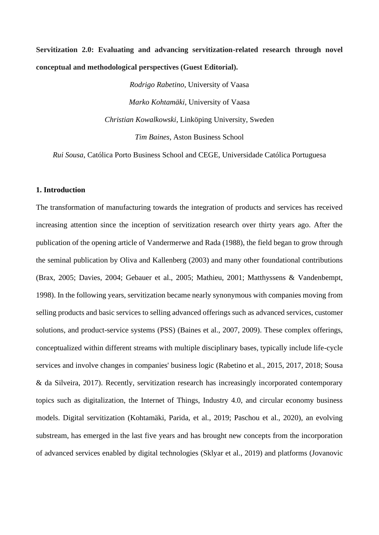**Servitization 2.0: Evaluating and advancing servitization-related research through novel conceptual and methodological perspectives (Guest Editorial).**

> *Rodrigo Rabetino*, University of Vaasa *Marko Kohtamäki*, University of Vaasa *Christian Kowalkowski*, Linköping University, Sweden *Tim Baines*, Aston Business School

*Rui Sousa*, Católica Porto Business School and CEGE, Universidade Católica Portuguesa

### **1. Introduction**

The transformation of manufacturing towards the integration of products and services has received increasing attention since the inception of servitization research over thirty years ago. After the publication of the opening article of Vandermerwe and Rada (1988), the field began to grow through the seminal publication by Oliva and Kallenberg (2003) and many other foundational contributions (Brax, 2005; Davies, 2004; Gebauer et al., 2005; Mathieu, 2001; Matthyssens & Vandenbempt, 1998). In the following years, servitization became nearly synonymous with companies moving from selling products and basic services to selling advanced offerings such as advanced services, customer solutions, and product-service systems (PSS) (Baines et al., 2007, 2009). These complex offerings, conceptualized within different streams with multiple disciplinary bases, typically include life-cycle services and involve changes in companies' business logic (Rabetino et al., 2015, 2017, 2018; Sousa & da Silveira, 2017). Recently, servitization research has increasingly incorporated contemporary topics such as digitalization, the Internet of Things, Industry 4.0, and circular economy business models. Digital servitization (Kohtamäki, Parida, et al., 2019; Paschou et al., 2020), an evolving substream, has emerged in the last five years and has brought new concepts from the incorporation of advanced services enabled by digital technologies (Sklyar et al., 2019) and platforms (Jovanovic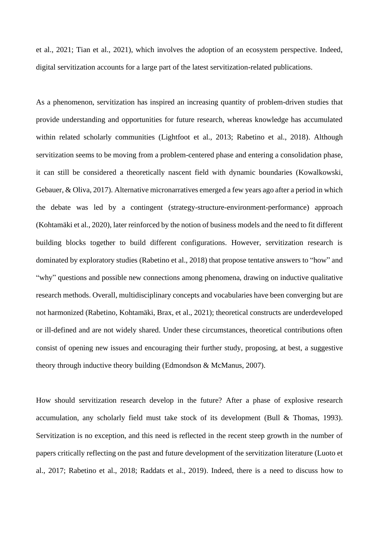et al., 2021; Tian et al., 2021), which involves the adoption of an ecosystem perspective. Indeed, digital servitization accounts for a large part of the latest servitization-related publications.

As a phenomenon, servitization has inspired an increasing quantity of problem-driven studies that provide understanding and opportunities for future research, whereas knowledge has accumulated within related scholarly communities (Lightfoot et al., 2013; Rabetino et al., 2018). Although servitization seems to be moving from a problem-centered phase and entering a consolidation phase, it can still be considered a theoretically nascent field with dynamic boundaries (Kowalkowski, Gebauer, & Oliva, 2017). Alternative micronarratives emerged a few years ago after a period in which the debate was led by a contingent (strategy-structure-environment-performance) approach (Kohtamäki et al., 2020), later reinforced by the notion of business models and the need to fit different building blocks together to build different configurations. However, servitization research is dominated by exploratory studies (Rabetino et al., 2018) that propose tentative answers to "how" and "why" questions and possible new connections among phenomena, drawing on inductive qualitative research methods. Overall, multidisciplinary concepts and vocabularies have been converging but are not harmonized (Rabetino, Kohtamäki, Brax, et al., 2021); theoretical constructs are underdeveloped or ill-defined and are not widely shared. Under these circumstances, theoretical contributions often consist of opening new issues and encouraging their further study, proposing, at best, a suggestive theory through inductive theory building (Edmondson & McManus, 2007).

How should servitization research develop in the future? After a phase of explosive research accumulation, any scholarly field must take stock of its development (Bull & Thomas, 1993). Servitization is no exception, and this need is reflected in the recent steep growth in the number of papers critically reflecting on the past and future development of the servitization literature (Luoto et al., 2017; Rabetino et al., 2018; Raddats et al., 2019). Indeed, there is a need to discuss how to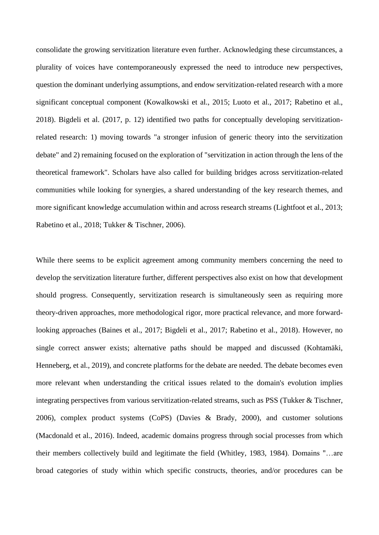consolidate the growing servitization literature even further. Acknowledging these circumstances, a plurality of voices have contemporaneously expressed the need to introduce new perspectives, question the dominant underlying assumptions, and endow servitization-related research with a more significant conceptual component (Kowalkowski et al., 2015; Luoto et al., 2017; Rabetino et al., 2018). Bigdeli et al. (2017, p. 12) identified two paths for conceptually developing servitizationrelated research: 1) moving towards "a stronger infusion of generic theory into the servitization debate" and 2) remaining focused on the exploration of "servitization in action through the lens of the theoretical framework". Scholars have also called for building bridges across servitization-related communities while looking for synergies, a shared understanding of the key research themes, and more significant knowledge accumulation within and across research streams (Lightfoot et al., 2013; Rabetino et al., 2018; Tukker & Tischner, 2006).

While there seems to be explicit agreement among community members concerning the need to develop the servitization literature further, different perspectives also exist on how that development should progress. Consequently, servitization research is simultaneously seen as requiring more theory-driven approaches, more methodological rigor, more practical relevance, and more forwardlooking approaches (Baines et al., 2017; Bigdeli et al., 2017; Rabetino et al., 2018). However, no single correct answer exists; alternative paths should be mapped and discussed (Kohtamäki, Henneberg, et al., 2019), and concrete platforms for the debate are needed. The debate becomes even more relevant when understanding the critical issues related to the domain's evolution implies integrating perspectives from various servitization-related streams, such as PSS (Tukker & Tischner, 2006), complex product systems (CoPS) (Davies & Brady, 2000), and customer solutions (Macdonald et al., 2016). Indeed, academic domains progress through social processes from which their members collectively build and legitimate the field (Whitley, 1983, 1984). Domains "…are broad categories of study within which specific constructs, theories, and/or procedures can be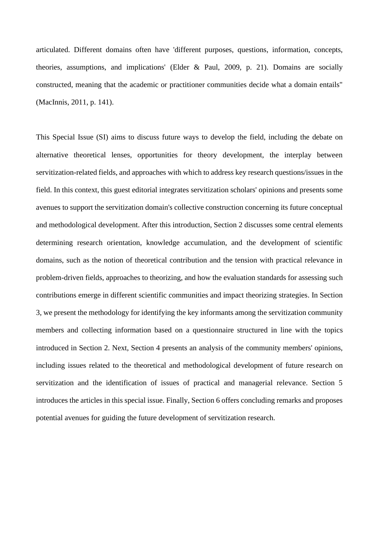articulated. Different domains often have 'different purposes, questions, information, concepts, theories, assumptions, and implications' (Elder & Paul, 2009, p. 21). Domains are socially constructed, meaning that the academic or practitioner communities decide what a domain entails" (MacInnis, 2011, p. 141).

This Special Issue (SI) aims to discuss future ways to develop the field, including the debate on alternative theoretical lenses, opportunities for theory development, the interplay between servitization-related fields, and approaches with which to address key research questions/issues in the field. In this context, this guest editorial integrates servitization scholars' opinions and presents some avenues to support the servitization domain's collective construction concerning its future conceptual and methodological development. After this introduction, Section 2 discusses some central elements determining research orientation, knowledge accumulation, and the development of scientific domains, such as the notion of theoretical contribution and the tension with practical relevance in problem-driven fields, approaches to theorizing, and how the evaluation standards for assessing such contributions emerge in different scientific communities and impact theorizing strategies. In Section 3, we present the methodology for identifying the key informants among the servitization community members and collecting information based on a questionnaire structured in line with the topics introduced in Section 2. Next, Section 4 presents an analysis of the community members' opinions, including issues related to the theoretical and methodological development of future research on servitization and the identification of issues of practical and managerial relevance. Section 5 introduces the articles in this special issue. Finally, Section 6 offers concluding remarks and proposes potential avenues for guiding the future development of servitization research.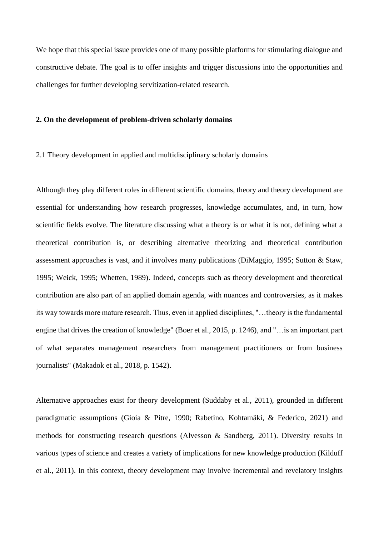We hope that this special issue provides one of many possible platforms for stimulating dialogue and constructive debate. The goal is to offer insights and trigger discussions into the opportunities and challenges for further developing servitization-related research.

### **2. On the development of problem-driven scholarly domains**

2.1 Theory development in applied and multidisciplinary scholarly domains

Although they play different roles in different scientific domains, theory and theory development are essential for understanding how research progresses, knowledge accumulates, and, in turn, how scientific fields evolve. The literature discussing what a theory is or what it is not, defining what a theoretical contribution is, or describing alternative theorizing and theoretical contribution assessment approaches is vast, and it involves many publications (DiMaggio, 1995; Sutton & Staw, 1995; Weick, 1995; Whetten, 1989). Indeed, concepts such as theory development and theoretical contribution are also part of an applied domain agenda, with nuances and controversies, as it makes its way towards more mature research. Thus, even in applied disciplines, "…theory is the fundamental engine that drives the creation of knowledge" (Boer et al., 2015, p. 1246), and "…is an important part of what separates management researchers from management practitioners or from business journalists" (Makadok et al., 2018, p. 1542).

Alternative approaches exist for theory development (Suddaby et al., 2011), grounded in different paradigmatic assumptions (Gioia & Pitre, 1990; Rabetino, Kohtamäki, & Federico, 2021) and methods for constructing research questions (Alvesson & Sandberg, 2011). Diversity results in various types of science and creates a variety of implications for new knowledge production (Kilduff et al., 2011). In this context, theory development may involve incremental and revelatory insights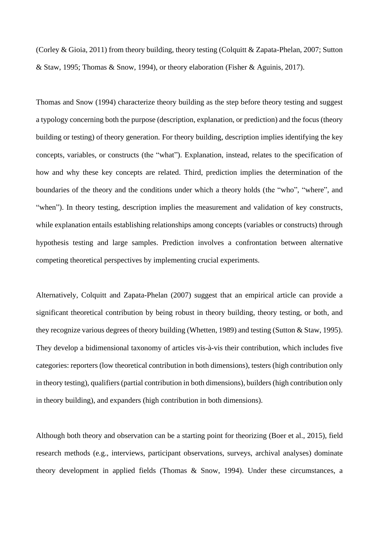(Corley & Gioia, 2011) from theory building, theory testing (Colquitt & Zapata-Phelan, 2007; Sutton & Staw, 1995; Thomas & Snow, 1994), or theory elaboration (Fisher & Aguinis, 2017).

Thomas and Snow (1994) characterize theory building as the step before theory testing and suggest a typology concerning both the purpose (description, explanation, or prediction) and the focus (theory building or testing) of theory generation. For theory building, description implies identifying the key concepts, variables, or constructs (the "what"). Explanation, instead, relates to the specification of how and why these key concepts are related. Third, prediction implies the determination of the boundaries of the theory and the conditions under which a theory holds (the "who", "where", and "when"). In theory testing, description implies the measurement and validation of key constructs, while explanation entails establishing relationships among concepts (variables or constructs) through hypothesis testing and large samples. Prediction involves a confrontation between alternative competing theoretical perspectives by implementing crucial experiments.

Alternatively, Colquitt and Zapata-Phelan (2007) suggest that an empirical article can provide a significant theoretical contribution by being robust in theory building, theory testing, or both, and they recognize various degrees of theory building (Whetten, 1989) and testing (Sutton & Staw, 1995). They develop a bidimensional taxonomy of articles vis-à-vis their contribution, which includes five categories: reporters (low theoretical contribution in both dimensions), testers (high contribution only in theory testing), qualifiers (partial contribution in both dimensions), builders (high contribution only in theory building), and expanders (high contribution in both dimensions).

Although both theory and observation can be a starting point for theorizing (Boer et al., 2015), field research methods (e.g., interviews, participant observations, surveys, archival analyses) dominate theory development in applied fields (Thomas & Snow, 1994). Under these circumstances, a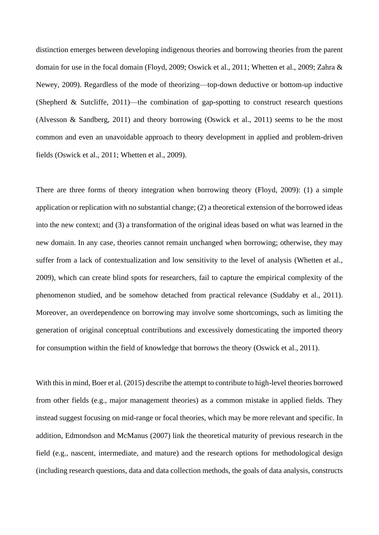distinction emerges between developing indigenous theories and borrowing theories from the parent domain for use in the focal domain (Floyd, 2009; Oswick et al., 2011; Whetten et al., 2009; Zahra & Newey, 2009). Regardless of the mode of theorizing—top-down deductive or bottom-up inductive (Shepherd & Sutcliffe, 2011)—the combination of gap-spotting to construct research questions (Alvesson & Sandberg, 2011) and theory borrowing (Oswick et al., 2011) seems to be the most common and even an unavoidable approach to theory development in applied and problem-driven fields (Oswick et al., 2011; Whetten et al., 2009).

There are three forms of theory integration when borrowing theory (Floyd, 2009): (1) a simple application or replication with no substantial change; (2) a theoretical extension of the borrowed ideas into the new context; and (3) a transformation of the original ideas based on what was learned in the new domain. In any case, theories cannot remain unchanged when borrowing; otherwise, they may suffer from a lack of contextualization and low sensitivity to the level of analysis (Whetten et al., 2009), which can create blind spots for researchers, fail to capture the empirical complexity of the phenomenon studied, and be somehow detached from practical relevance (Suddaby et al., 2011). Moreover, an overdependence on borrowing may involve some shortcomings, such as limiting the generation of original conceptual contributions and excessively domesticating the imported theory for consumption within the field of knowledge that borrows the theory (Oswick et al., 2011).

With this in mind, Boer et al. (2015) describe the attempt to contribute to high-level theories borrowed from other fields (e.g., major management theories) as a common mistake in applied fields. They instead suggest focusing on mid-range or focal theories, which may be more relevant and specific. In addition, Edmondson and McManus (2007) link the theoretical maturity of previous research in the field (e.g., nascent, intermediate, and mature) and the research options for methodological design (including research questions, data and data collection methods, the goals of data analysis, constructs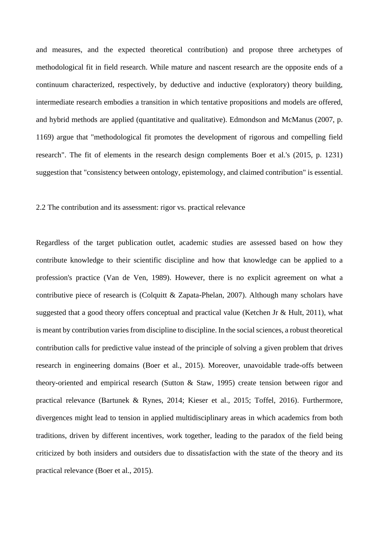and measures, and the expected theoretical contribution) and propose three archetypes of methodological fit in field research. While mature and nascent research are the opposite ends of a continuum characterized, respectively, by deductive and inductive (exploratory) theory building, intermediate research embodies a transition in which tentative propositions and models are offered, and hybrid methods are applied (quantitative and qualitative). Edmondson and McManus (2007, p. 1169) argue that "methodological fit promotes the development of rigorous and compelling field research". The fit of elements in the research design complements Boer et al.'s (2015, p. 1231) suggestion that "consistency between ontology, epistemology, and claimed contribution" is essential.

### 2.2 The contribution and its assessment: rigor vs. practical relevance

Regardless of the target publication outlet, academic studies are assessed based on how they contribute knowledge to their scientific discipline and how that knowledge can be applied to a profession's practice (Van de Ven, 1989). However, there is no explicit agreement on what a contributive piece of research is (Colquitt & Zapata-Phelan, 2007). Although many scholars have suggested that a good theory offers conceptual and practical value (Ketchen Jr & Hult, 2011), what is meant by contribution varies from discipline to discipline. In the social sciences, a robust theoretical contribution calls for predictive value instead of the principle of solving a given problem that drives research in engineering domains (Boer et al., 2015). Moreover, unavoidable trade-offs between theory-oriented and empirical research (Sutton & Staw, 1995) create tension between rigor and practical relevance (Bartunek & Rynes, 2014; Kieser et al., 2015; Toffel, 2016). Furthermore, divergences might lead to tension in applied multidisciplinary areas in which academics from both traditions, driven by different incentives, work together, leading to the paradox of the field being criticized by both insiders and outsiders due to dissatisfaction with the state of the theory and its practical relevance (Boer et al., 2015).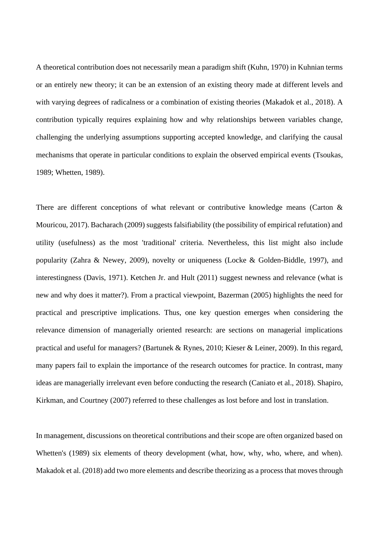A theoretical contribution does not necessarily mean a paradigm shift (Kuhn, 1970) in Kuhnian terms or an entirely new theory; it can be an extension of an existing theory made at different levels and with varying degrees of radicalness or a combination of existing theories (Makadok et al., 2018). A contribution typically requires explaining how and why relationships between variables change, challenging the underlying assumptions supporting accepted knowledge, and clarifying the causal mechanisms that operate in particular conditions to explain the observed empirical events (Tsoukas, 1989; Whetten, 1989).

There are different conceptions of what relevant or contributive knowledge means (Carton & Mouricou, 2017). Bacharach (2009) suggests falsifiability (the possibility of empirical refutation) and utility (usefulness) as the most 'traditional' criteria. Nevertheless, this list might also include popularity (Zahra & Newey, 2009), novelty or uniqueness (Locke & Golden-Biddle, 1997), and interestingness (Davis, 1971). Ketchen Jr. and Hult (2011) suggest newness and relevance (what is new and why does it matter?). From a practical viewpoint, Bazerman (2005) highlights the need for practical and prescriptive implications. Thus, one key question emerges when considering the relevance dimension of managerially oriented research: are sections on managerial implications practical and useful for managers? (Bartunek & Rynes, 2010; Kieser & Leiner, 2009). In this regard, many papers fail to explain the importance of the research outcomes for practice. In contrast, many ideas are managerially irrelevant even before conducting the research (Caniato et al., 2018). Shapiro, Kirkman, and Courtney (2007) referred to these challenges as lost before and lost in translation.

In management, discussions on theoretical contributions and their scope are often organized based on Whetten's (1989) six elements of theory development (what, how, why, who, where, and when). Makadok et al. (2018) add two more elements and describe theorizing as a process that moves through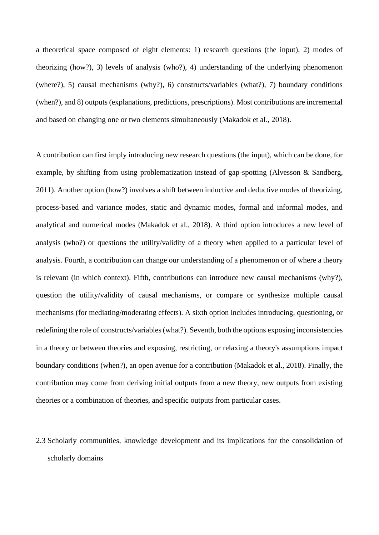a theoretical space composed of eight elements: 1) research questions (the input), 2) modes of theorizing (how?), 3) levels of analysis (who?), 4) understanding of the underlying phenomenon (where?), 5) causal mechanisms (why?), 6) constructs/variables (what?), 7) boundary conditions (when?), and 8) outputs (explanations, predictions, prescriptions). Most contributions are incremental and based on changing one or two elements simultaneously (Makadok et al., 2018).

A contribution can first imply introducing new research questions (the input), which can be done, for example, by shifting from using problematization instead of gap-spotting (Alvesson & Sandberg, 2011). Another option (how?) involves a shift between inductive and deductive modes of theorizing, process-based and variance modes, static and dynamic modes, formal and informal modes, and analytical and numerical modes (Makadok et al., 2018). A third option introduces a new level of analysis (who?) or questions the utility/validity of a theory when applied to a particular level of analysis. Fourth, a contribution can change our understanding of a phenomenon or of where a theory is relevant (in which context). Fifth, contributions can introduce new causal mechanisms (why?), question the utility/validity of causal mechanisms, or compare or synthesize multiple causal mechanisms (for mediating/moderating effects). A sixth option includes introducing, questioning, or redefining the role of constructs/variables (what?). Seventh, both the options exposing inconsistencies in a theory or between theories and exposing, restricting, or relaxing a theory's assumptions impact boundary conditions (when?), an open avenue for a contribution (Makadok et al., 2018). Finally, the contribution may come from deriving initial outputs from a new theory, new outputs from existing theories or a combination of theories, and specific outputs from particular cases.

2.3 Scholarly communities, knowledge development and its implications for the consolidation of scholarly domains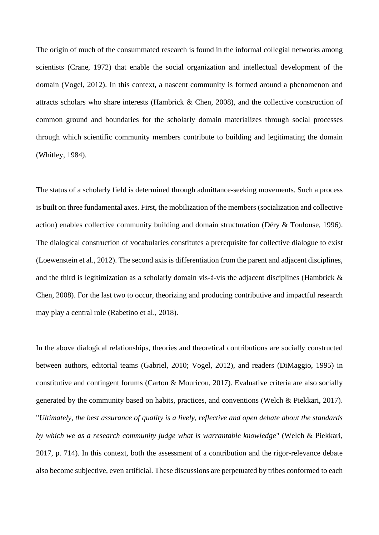The origin of much of the consummated research is found in the informal collegial networks among scientists (Crane, 1972) that enable the social organization and intellectual development of the domain (Vogel, 2012). In this context, a nascent community is formed around a phenomenon and attracts scholars who share interests (Hambrick & Chen, 2008), and the collective construction of common ground and boundaries for the scholarly domain materializes through social processes through which scientific community members contribute to building and legitimating the domain (Whitley, 1984).

The status of a scholarly field is determined through admittance-seeking movements. Such a process is built on three fundamental axes. First, the mobilization of the members (socialization and collective action) enables collective community building and domain structuration (Déry & Toulouse, 1996). The dialogical construction of vocabularies constitutes a prerequisite for collective dialogue to exist (Loewenstein et al., 2012). The second axis is differentiation from the parent and adjacent disciplines, and the third is legitimization as a scholarly domain vis-à-vis the adjacent disciplines (Hambrick & Chen, 2008). For the last two to occur, theorizing and producing contributive and impactful research may play a central role (Rabetino et al., 2018).

In the above dialogical relationships, theories and theoretical contributions are socially constructed between authors, editorial teams (Gabriel, 2010; Vogel, 2012), and readers (DiMaggio, 1995) in constitutive and contingent forums (Carton & Mouricou, 2017). Evaluative criteria are also socially generated by the community based on habits, practices, and conventions (Welch & Piekkari, 2017). "*Ultimately, the best assurance of quality is a lively, reflective and open debate about the standards by which we as a research community judge what is warrantable knowledge*" (Welch & Piekkari, 2017, p. 714). In this context, both the assessment of a contribution and the rigor-relevance debate also become subjective, even artificial. These discussions are perpetuated by tribes conformed to each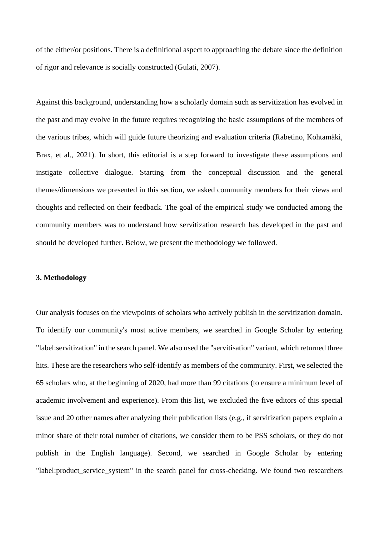of the either/or positions. There is a definitional aspect to approaching the debate since the definition of rigor and relevance is socially constructed (Gulati, 2007).

Against this background, understanding how a scholarly domain such as servitization has evolved in the past and may evolve in the future requires recognizing the basic assumptions of the members of the various tribes, which will guide future theorizing and evaluation criteria (Rabetino, Kohtamäki, Brax, et al., 2021). In short, this editorial is a step forward to investigate these assumptions and instigate collective dialogue. Starting from the conceptual discussion and the general themes/dimensions we presented in this section, we asked community members for their views and thoughts and reflected on their feedback. The goal of the empirical study we conducted among the community members was to understand how servitization research has developed in the past and should be developed further. Below, we present the methodology we followed.

### **3. Methodology**

Our analysis focuses on the viewpoints of scholars who actively publish in the servitization domain. To identify our community's most active members, we searched in Google Scholar by entering "label:servitization" in the search panel. We also used the "servitisation" variant, which returned three hits. These are the researchers who self-identify as members of the community. First, we selected the 65 scholars who, at the beginning of 2020, had more than 99 citations (to ensure a minimum level of academic involvement and experience). From this list, we excluded the five editors of this special issue and 20 other names after analyzing their publication lists (e.g., if servitization papers explain a minor share of their total number of citations, we consider them to be PSS scholars, or they do not publish in the English language). Second, we searched in Google Scholar by entering "label: product service system" in the search panel for cross-checking. We found two researchers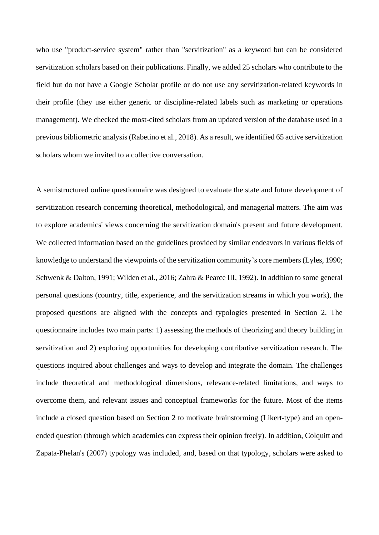who use "product-service system" rather than "servitization" as a keyword but can be considered servitization scholars based on their publications. Finally, we added 25 scholars who contribute to the field but do not have a Google Scholar profile or do not use any servitization-related keywords in their profile (they use either generic or discipline-related labels such as marketing or operations management). We checked the most-cited scholars from an updated version of the database used in a previous bibliometric analysis (Rabetino et al., 2018). As a result, we identified 65 active servitization scholars whom we invited to a collective conversation.

A semistructured online questionnaire was designed to evaluate the state and future development of servitization research concerning theoretical, methodological, and managerial matters. The aim was to explore academics' views concerning the servitization domain's present and future development. We collected information based on the guidelines provided by similar endeavors in various fields of knowledge to understand the viewpoints of the servitization community's core members (Lyles, 1990; Schwenk & Dalton, 1991; Wilden et al., 2016; Zahra & Pearce III, 1992). In addition to some general personal questions (country, title, experience, and the servitization streams in which you work), the proposed questions are aligned with the concepts and typologies presented in Section 2. The questionnaire includes two main parts: 1) assessing the methods of theorizing and theory building in servitization and 2) exploring opportunities for developing contributive servitization research. The questions inquired about challenges and ways to develop and integrate the domain. The challenges include theoretical and methodological dimensions, relevance-related limitations, and ways to overcome them, and relevant issues and conceptual frameworks for the future. Most of the items include a closed question based on Section 2 to motivate brainstorming (Likert-type) and an openended question (through which academics can express their opinion freely). In addition, Colquitt and Zapata-Phelan's (2007) typology was included, and, based on that typology, scholars were asked to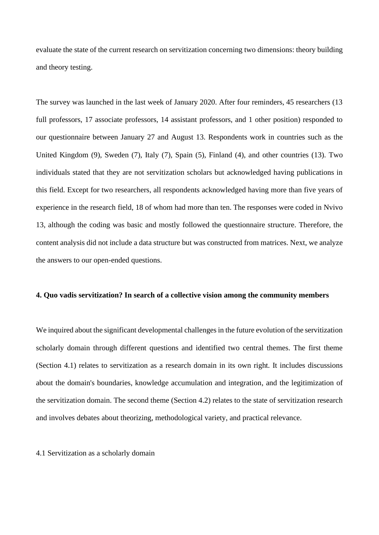evaluate the state of the current research on servitization concerning two dimensions: theory building and theory testing.

The survey was launched in the last week of January 2020. After four reminders, 45 researchers (13 full professors, 17 associate professors, 14 assistant professors, and 1 other position) responded to our questionnaire between January 27 and August 13. Respondents work in countries such as the United Kingdom (9), Sweden (7), Italy (7), Spain (5), Finland (4), and other countries (13). Two individuals stated that they are not servitization scholars but acknowledged having publications in this field. Except for two researchers, all respondents acknowledged having more than five years of experience in the research field, 18 of whom had more than ten. The responses were coded in Nvivo 13, although the coding was basic and mostly followed the questionnaire structure. Therefore, the content analysis did not include a data structure but was constructed from matrices. Next, we analyze the answers to our open-ended questions.

### **4. Quo vadis servitization? In search of a collective vision among the community members**

We inquired about the significant developmental challenges in the future evolution of the servitization scholarly domain through different questions and identified two central themes. The first theme (Section 4.1) relates to servitization as a research domain in its own right. It includes discussions about the domain's boundaries, knowledge accumulation and integration, and the legitimization of the servitization domain. The second theme (Section 4.2) relates to the state of servitization research and involves debates about theorizing, methodological variety, and practical relevance.

### 4.1 Servitization as a scholarly domain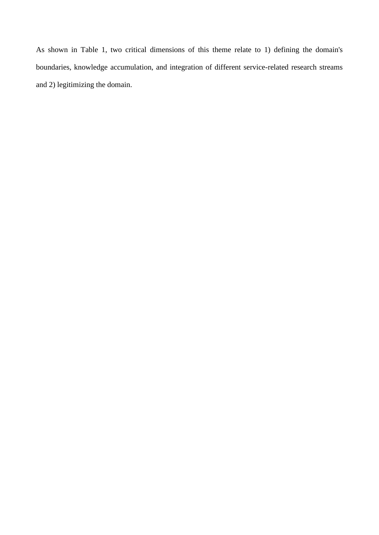As shown in Table 1, two critical dimensions of this theme relate to 1) defining the domain's boundaries, knowledge accumulation, and integration of different service-related research streams and 2) legitimizing the domain.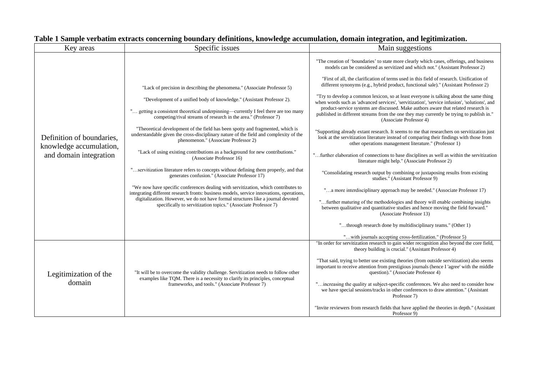| Key areas                                                                      | Specific issues                                                                                                                                                                                                                                                                                                                                                                                                                                                                                                                                                                                                                                                                                                                                                                                                                                                                                                                                                                                                                                                                                                                 | Main suggestions                                                                                                                                                                                                                                                                                                                                                                                                                                                                                                                                                                                                                                                                                                                                                                                                                                                                                                                                                                                                                                                                                                                                                                                                                                                                                                                                                                                                                                                                                                                                                                                                                                                                                                             |
|--------------------------------------------------------------------------------|---------------------------------------------------------------------------------------------------------------------------------------------------------------------------------------------------------------------------------------------------------------------------------------------------------------------------------------------------------------------------------------------------------------------------------------------------------------------------------------------------------------------------------------------------------------------------------------------------------------------------------------------------------------------------------------------------------------------------------------------------------------------------------------------------------------------------------------------------------------------------------------------------------------------------------------------------------------------------------------------------------------------------------------------------------------------------------------------------------------------------------|------------------------------------------------------------------------------------------------------------------------------------------------------------------------------------------------------------------------------------------------------------------------------------------------------------------------------------------------------------------------------------------------------------------------------------------------------------------------------------------------------------------------------------------------------------------------------------------------------------------------------------------------------------------------------------------------------------------------------------------------------------------------------------------------------------------------------------------------------------------------------------------------------------------------------------------------------------------------------------------------------------------------------------------------------------------------------------------------------------------------------------------------------------------------------------------------------------------------------------------------------------------------------------------------------------------------------------------------------------------------------------------------------------------------------------------------------------------------------------------------------------------------------------------------------------------------------------------------------------------------------------------------------------------------------------------------------------------------------|
| Definition of boundaries.<br>knowledge accumulation,<br>and domain integration | "Lack of precision in describing the phenomena." (Associate Professor 5)<br>"Development of a unified body of knowledge." (Assistant Professor 2).<br>" getting a consistent theoretical underpinning—currently I feel there are too many<br>competing/rival streams of research in the area." (Professor 7)<br>"Theoretical development of the field has been spotty and fragmented, which is<br>understandable given the cross-disciplinary nature of the field and complexity of the<br>phenomenon." (Associate Professor 2)<br>"Lack of using existing contributions as a background for new contributions."<br>(Associate Professor 16)<br>"servitization literature refers to concepts without defining them properly, and that<br>generates confusion." (Associate Professor 17)<br>"We now have specific conferences dealing with servitization, which contributes to<br>integrating different research fronts: business models, service innovations, operations,<br>digitalization. However, we do not have formal structures like a journal devoted<br>specifically to servitization topics." (Associate Professor 7) | "The creation of 'boundaries' to state more clearly which cases, offerings, and business<br>models can be considered as servitized and which not." (Assistant Professor 2)<br>"First of all, the clarification of terms used in this field of research. Unification of<br>different synonyms (e.g., hybrid product, functional sale)." (Assistant Professor 2)<br>"Try to develop a common lexicon, so at least everyone is talking about the same thing<br>when words such as 'advanced services', 'servitization', 'service infusion', 'solutions', and<br>product-service systems are discussed. Make authors aware that related research is<br>published in different streams from the one they may currently be trying to publish in."<br>(Associate Professor 4)<br>"Supporting already extant research. It seems to me that researchers on servitization just<br>look at the servitization literature instead of comparing their findings with those from<br>other operations management literature." (Professor 1)<br>" further elaboration of connections to base disciplines as well as within the servitization<br>literature might help." (Associate Professor 2)<br>"Consolidating research output by combining or juxtaposing results from existing<br>studies." (Assistant Professor 9)<br>"a more interdisciplinary approach may be needed." (Associate Professor 17)<br>"further maturing of the methodologies and theory will enable combining insights<br>between qualitative and quantitative studies and hence moving the field forward."<br>(Associate Professor 13)<br>"through research done by multidisciplinary teams." (Other 1)<br>" with journals accepting cross-fertilization." (Professor 5) |
| Legitimization of the<br>domain                                                | "It will be to overcome the validity challenge. Servitization needs to follow other<br>examples like TQM. There is a necessity to clarify its principles, conceptual<br>frameworks, and tools." (Associate Professor 7)                                                                                                                                                                                                                                                                                                                                                                                                                                                                                                                                                                                                                                                                                                                                                                                                                                                                                                         | "In order for servitization research to gain wider recognition also beyond the core field,<br>theory building is crucial." (Assistant Professor 4)<br>"That said, trying to better use existing theories (from outside servitization) also seems<br>important to receive attention from prestigious journals (hence I 'agree' with the middle<br>question)." (Associate Professor 4)<br>" increasing the quality at subject-specific conferences. We also need to consider how<br>we have special sessions/tracks in other conferences to draw attention." (Assistant<br>Professor 7)<br>"Invite reviewers from research fields that have applied the theories in depth." (Assistant<br>Professor 9)                                                                                                                                                                                                                                                                                                                                                                                                                                                                                                                                                                                                                                                                                                                                                                                                                                                                                                                                                                                                                         |

# **Table 1 Sample verbatim extracts concerning boundary definitions, knowledge accumulation, domain integration, and legitimization.**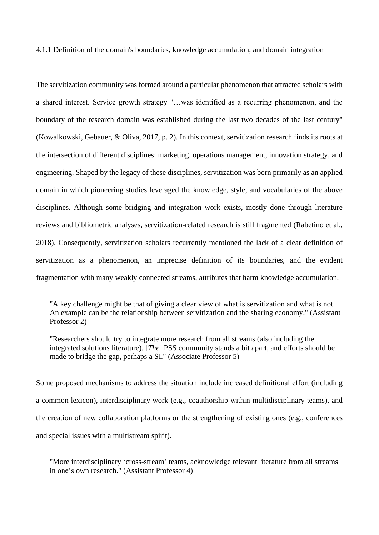4.1.1 Definition of the domain's boundaries, knowledge accumulation, and domain integration

The servitization community was formed around a particular phenomenon that attracted scholars with a shared interest. Service growth strategy "…was identified as a recurring phenomenon, and the boundary of the research domain was established during the last two decades of the last century" (Kowalkowski, Gebauer, & Oliva, 2017, p. 2). In this context, servitization research finds its roots at the intersection of different disciplines: marketing, operations management, innovation strategy, and engineering. Shaped by the legacy of these disciplines, servitization was born primarily as an applied domain in which pioneering studies leveraged the knowledge, style, and vocabularies of the above disciplines. Although some bridging and integration work exists, mostly done through literature reviews and bibliometric analyses, servitization-related research is still fragmented (Rabetino et al., 2018). Consequently, servitization scholars recurrently mentioned the lack of a clear definition of servitization as a phenomenon, an imprecise definition of its boundaries, and the evident fragmentation with many weakly connected streams, attributes that harm knowledge accumulation.

"A key challenge might be that of giving a clear view of what is servitization and what is not. An example can be the relationship between servitization and the sharing economy." (Assistant Professor 2)

"Researchers should try to integrate more research from all streams (also including the integrated solutions literature). [*The*] PSS community stands a bit apart, and efforts should be made to bridge the gap, perhaps a SI." (Associate Professor 5)

Some proposed mechanisms to address the situation include increased definitional effort (including a common lexicon), interdisciplinary work (e.g., coauthorship within multidisciplinary teams), and the creation of new collaboration platforms or the strengthening of existing ones (e.g., conferences and special issues with a multistream spirit).

"More interdisciplinary 'cross-stream' teams, acknowledge relevant literature from all streams in one's own research." (Assistant Professor 4)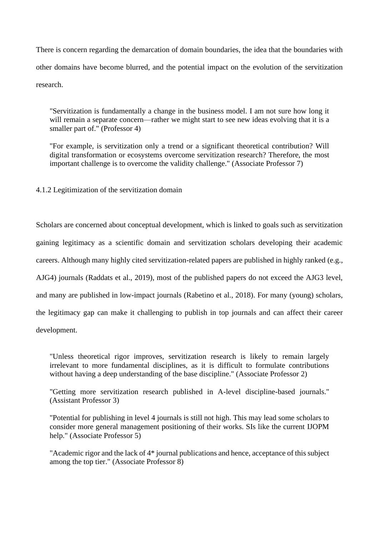There is concern regarding the demarcation of domain boundaries, the idea that the boundaries with other domains have become blurred, and the potential impact on the evolution of the servitization research.

"Servitization is fundamentally a change in the business model. I am not sure how long it will remain a separate concern—rather we might start to see new ideas evolving that it is a smaller part of." (Professor 4)

"For example, is servitization only a trend or a significant theoretical contribution? Will digital transformation or ecosystems overcome servitization research? Therefore, the most important challenge is to overcome the validity challenge." (Associate Professor 7)

4.1.2 Legitimization of the servitization domain

Scholars are concerned about conceptual development, which is linked to goals such as servitization gaining legitimacy as a scientific domain and servitization scholars developing their academic careers. Although many highly cited servitization-related papers are published in highly ranked (e.g., AJG4) journals (Raddats et al., 2019), most of the published papers do not exceed the AJG3 level, and many are published in low-impact journals (Rabetino et al., 2018). For many (young) scholars, the legitimacy gap can make it challenging to publish in top journals and can affect their career development.

"Unless theoretical rigor improves, servitization research is likely to remain largely irrelevant to more fundamental disciplines, as it is difficult to formulate contributions without having a deep understanding of the base discipline." (Associate Professor 2)

"Getting more servitization research published in A-level discipline-based journals." (Assistant Professor 3)

"Potential for publishing in level 4 journals is still not high. This may lead some scholars to consider more general management positioning of their works. SIs like the current IJOPM help." (Associate Professor 5)

"Academic rigor and the lack of 4\* journal publications and hence, acceptance of this subject among the top tier." (Associate Professor 8)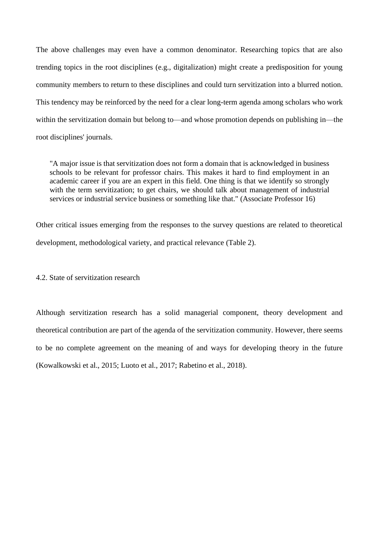The above challenges may even have a common denominator. Researching topics that are also trending topics in the root disciplines (e.g., digitalization) might create a predisposition for young community members to return to these disciplines and could turn servitization into a blurred notion. This tendency may be reinforced by the need for a clear long-term agenda among scholars who work within the servitization domain but belong to—and whose promotion depends on publishing in—the root disciplines' journals.

"A major issue is that servitization does not form a domain that is acknowledged in business schools to be relevant for professor chairs. This makes it hard to find employment in an academic career if you are an expert in this field. One thing is that we identify so strongly with the term servitization; to get chairs, we should talk about management of industrial services or industrial service business or something like that." (Associate Professor 16)

Other critical issues emerging from the responses to the survey questions are related to theoretical development, methodological variety, and practical relevance (Table 2).

4.2. State of servitization research

Although servitization research has a solid managerial component, theory development and theoretical contribution are part of the agenda of the servitization community. However, there seems to be no complete agreement on the meaning of and ways for developing theory in the future (Kowalkowski et al., 2015; Luoto et al., 2017; Rabetino et al., 2018).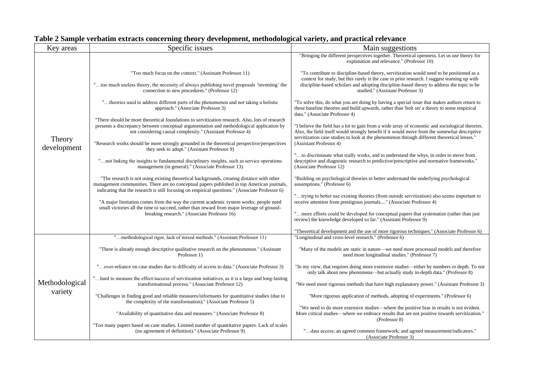| Key areas                 | Specific issues                                                                                                                                                                                                                                                                                                                                             | Main suggestions                                                                                                                                                                                                                                                                                                           |
|---------------------------|-------------------------------------------------------------------------------------------------------------------------------------------------------------------------------------------------------------------------------------------------------------------------------------------------------------------------------------------------------------|----------------------------------------------------------------------------------------------------------------------------------------------------------------------------------------------------------------------------------------------------------------------------------------------------------------------------|
| Theory<br>development     |                                                                                                                                                                                                                                                                                                                                                             | "Bringing the different perspectives together. Theoretical openness. Let us use theory for<br>explanation and relevance." (Professor 10)                                                                                                                                                                                   |
|                           | "Too much focus on the context." (Assistant Professor 11)<br>"too much useless theory, the necessity of always publishing novel proposals 'inventing' the<br>connection to new procedures." (Professor 12)                                                                                                                                                  | "To contribute to discipline-based theory, servitization would need to be positioned as a<br>context for study, but this rarely is the case in prior research. I suggest teaming up with<br>discipline-based scholars and adopting discipline-based theory to address the topic to be<br>studied." (Assistant Professor 3) |
|                           | "theories used to address different parts of the phenomenon and not taking a holistic<br>approach." (Associate Professor 3)                                                                                                                                                                                                                                 | "To solve this, do what you are doing by having a special issue that makes authors return to<br>these baseline theories and build upwards, rather than 'bolt on' a theory to some empirical<br>data." (Associate Professor 4)                                                                                              |
|                           | "There should be more theoretical foundations to servitization research. Also, lots of research<br>presents a discrepancy between conceptual argumentation and methodological application by<br>not considering causal complexity." (Assistant Professor 4)<br>"Research works should be more strongly grounded in the theoretical perspective/perspectives | "I believe the field has a lot to gain from a wide array of economic and sociological theories.<br>Also, the field itself would strongly benefit if it would move from the somewhat descriptive<br>servitization case studies to look at the phenomenon through different theoretical lenses."<br>(Assistant Professor 4)  |
|                           | they seek to adopt." (Assistant Professor 9)<br>"not linking the insights to fundamental disciplinary insights, such as service operations<br>management (in general)." (Associate Professor 13)                                                                                                                                                            | "to discriminate what really works, and to understand the whys, in order to move from<br>descriptive and diagnostic research to predictive/prescriptive and normative frameworks."<br>(Associate Professor 12)                                                                                                             |
|                           | "The research is not using existing theoretical backgrounds, creating distance with other<br>management communities. There are no conceptual papers published in top American journals,<br>indicating that the research is still focusing on empirical questions." (Associate Professor 6)                                                                  | "Building on psychological theories to better understand the underlying psychological<br>assumptions." (Professor 6)                                                                                                                                                                                                       |
|                           | "A major limitation comes from the way the current academic system works; people need<br>small victories all the time to succeed, rather than reward from major leverage of ground-<br>breaking research." (Associate Professor 16)                                                                                                                         | "trying to better use existing theories (from outside servitization) also seems important to<br>receive attention from prestigious journals" (Associate Professor 4)<br>"more efforts could be developed for conceptual papers that systematize (rather than just                                                          |
|                           |                                                                                                                                                                                                                                                                                                                                                             | review) the knowledge developed so far." (Assistant Professor 9)                                                                                                                                                                                                                                                           |
|                           | "methodological rigor, lack of mixed methods." (Assistant Professor 11)                                                                                                                                                                                                                                                                                     | "Theoretical development and the use of more rigorous techniques." (Associate Professor 6)<br>"Longitudinal and cross-level research." (Professor 6)                                                                                                                                                                       |
| Methodological<br>variety | "There is already enough descriptive qualitative research on the phenomenon." (Assistant<br>Professor 1)                                                                                                                                                                                                                                                    | "Many of the models are static in nature—we need more processual models and therefore<br>need more longitudinal studies." (Professor 7)                                                                                                                                                                                    |
|                           | "over-reliance on case studies due to difficulty of access to data." (Associate Professor 3)                                                                                                                                                                                                                                                                | "In my view, that requires doing more extensive studies—either by numbers or depth. To not<br>only talk about new phenomena—but actually study in-depth data." (Professor 8)                                                                                                                                               |
|                           | "hard to measure the effect/success of servitization initiatives, as it is a large and long-lasting<br>transformational process." (Associate Professor 12)                                                                                                                                                                                                  | "We need more rigorous methods that have high explanatory power." (Assistant Professor 3)                                                                                                                                                                                                                                  |
|                           | "Challenges in finding good and reliable measures/informants for quantitative studies (due to<br>the complexity of the transformation)." (Associate Professor 5)                                                                                                                                                                                            | "More rigorous application of methods, adopting of experiments." (Professor 6)                                                                                                                                                                                                                                             |
|                           | "Availability of quantitative data and measures." (Associate Professor 8)                                                                                                                                                                                                                                                                                   | "We need to do more extensive studies—where the positive bias in results is not evident.<br>More critical studies—where we embrace results that are not positive towards servitization."<br>(Professor 8)                                                                                                                  |
|                           | "Too many papers based on case studies. Limited number of quantitative papers. Lack of scales<br>(no agreement of definition)." (Associate Professor 9)                                                                                                                                                                                                     | "data access; an agreed common framework; and agreed measurement/indicators."<br>(Associate Professor 3)                                                                                                                                                                                                                   |

# **Table 2 Sample verbatim extracts concerning theory development, methodological variety, and practical relevance**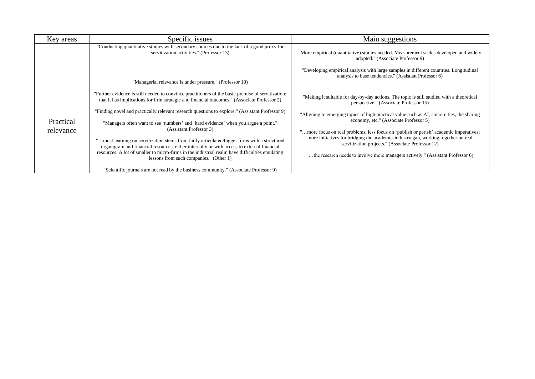| Key areas              | Specific issues                                                                                                                                                                                    | Main suggestions                                                                                                                                |
|------------------------|----------------------------------------------------------------------------------------------------------------------------------------------------------------------------------------------------|-------------------------------------------------------------------------------------------------------------------------------------------------|
|                        | "Conducting quantitative studies with secondary sources due to the lack of a good proxy for<br>servitization activities." (Professor 13)                                                           | "More empirical (quantitative) studies needed. Measurement scales developed and widely<br>adopted." (Associate Professor 9)                     |
|                        |                                                                                                                                                                                                    | "Developing empirical analysis with large samples in different countries. Longitudinal<br>analysis to base tendencies." (Assistant Professor 6) |
|                        | "Managerial relevance is under pressure." (Professor 10)                                                                                                                                           |                                                                                                                                                 |
|                        | "Further evidence is still needed to convince practitioners of the basic premise of servitization:<br>that it has implications for firm strategic and financial outcomes." (Associate Professor 2) | "Making it suitable for day-by-day actions. The topic is still studied with a theoretical<br>perspective." (Associate Professor 15)             |
| Practical<br>relevance | "Finding novel and practically relevant research questions to explore." (Assistant Professor 9)<br>"Managers often want to see 'numbers' and 'hard evidence' when you argue a point."              | "Aligning to emerging topics of high practical value such as AI, smart cities, the sharing<br>economy, etc." (Associate Professor 5)            |
|                        | (Assistant Professor 3)                                                                                                                                                                            | "more focus on real problems, less focus on 'publish or perish' academic imperatives;                                                           |
|                        | " most learning on servitization stems from fairly articulated/bigger firms with a structured<br>organigram and financial resources, either internally or with access to external financial        | more initiatives for bridging the academia-industry gap, working together on real<br>servitization projects." (Associate Professor 12)          |
|                        | resources. A lot of smaller to micro-firms in the industrial realm have difficulties emulating<br>lessons from such companies." (Other 1)                                                          | "the research needs to involve more managers actively." (Assistant Professor 6)                                                                 |
|                        | "Scientific journals are not read by the business community." (Associate Professor 9)                                                                                                              |                                                                                                                                                 |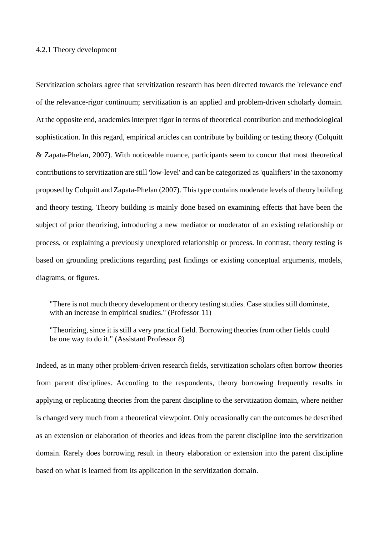### 4.2.1 Theory development

Servitization scholars agree that servitization research has been directed towards the 'relevance end' of the relevance-rigor continuum; servitization is an applied and problem-driven scholarly domain. At the opposite end, academics interpret rigor in terms of theoretical contribution and methodological sophistication. In this regard, empirical articles can contribute by building or testing theory (Colquitt & Zapata-Phelan, 2007). With noticeable nuance, participants seem to concur that most theoretical contributions to servitization are still 'low-level' and can be categorized as 'qualifiers' in the taxonomy proposed by Colquitt and Zapata-Phelan (2007). This type contains moderate levels of theory building and theory testing. Theory building is mainly done based on examining effects that have been the subject of prior theorizing, introducing a new mediator or moderator of an existing relationship or process, or explaining a previously unexplored relationship or process. In contrast, theory testing is based on grounding predictions regarding past findings or existing conceptual arguments, models, diagrams, or figures.

"There is not much theory development or theory testing studies. Case studies still dominate, with an increase in empirical studies." (Professor 11)

"Theorizing, since it is still a very practical field. Borrowing theories from other fields could be one way to do it." (Assistant Professor 8)

Indeed, as in many other problem-driven research fields, servitization scholars often borrow theories from parent disciplines. According to the respondents, theory borrowing frequently results in applying or replicating theories from the parent discipline to the servitization domain, where neither is changed very much from a theoretical viewpoint. Only occasionally can the outcomes be described as an extension or elaboration of theories and ideas from the parent discipline into the servitization domain. Rarely does borrowing result in theory elaboration or extension into the parent discipline based on what is learned from its application in the servitization domain.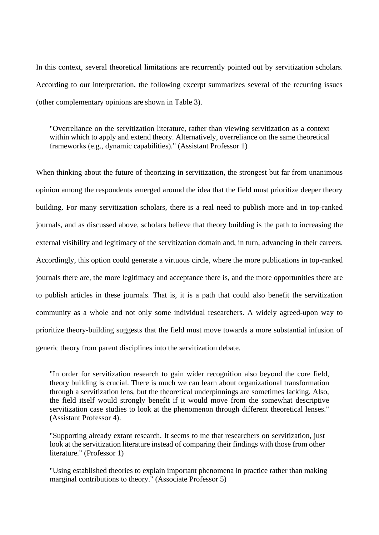In this context, several theoretical limitations are recurrently pointed out by servitization scholars. According to our interpretation, the following excerpt summarizes several of the recurring issues (other complementary opinions are shown in Table 3).

"Overreliance on the servitization literature, rather than viewing servitization as a context within which to apply and extend theory. Alternatively, overreliance on the same theoretical frameworks (e.g., dynamic capabilities)." (Assistant Professor 1)

When thinking about the future of theorizing in servitization, the strongest but far from unanimous opinion among the respondents emerged around the idea that the field must prioritize deeper theory building. For many servitization scholars, there is a real need to publish more and in top-ranked journals, and as discussed above, scholars believe that theory building is the path to increasing the external visibility and legitimacy of the servitization domain and, in turn, advancing in their careers. Accordingly, this option could generate a virtuous circle, where the more publications in top-ranked journals there are, the more legitimacy and acceptance there is, and the more opportunities there are to publish articles in these journals. That is, it is a path that could also benefit the servitization community as a whole and not only some individual researchers. A widely agreed-upon way to prioritize theory-building suggests that the field must move towards a more substantial infusion of generic theory from parent disciplines into the servitization debate.

"In order for servitization research to gain wider recognition also beyond the core field, theory building is crucial. There is much we can learn about organizational transformation through a servitization lens, but the theoretical underpinnings are sometimes lacking. Also, the field itself would strongly benefit if it would move from the somewhat descriptive servitization case studies to look at the phenomenon through different theoretical lenses." (Assistant Professor 4).

"Supporting already extant research. It seems to me that researchers on servitization, just look at the servitization literature instead of comparing their findings with those from other literature." (Professor 1)

"Using established theories to explain important phenomena in practice rather than making marginal contributions to theory." (Associate Professor 5)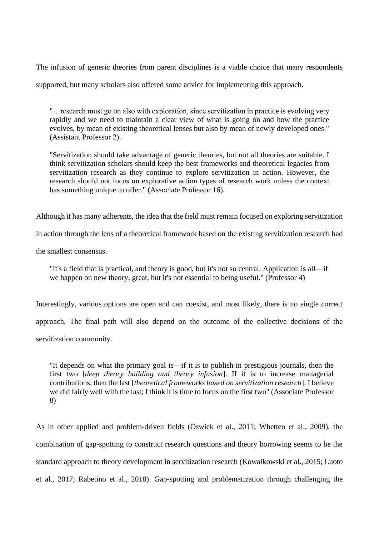The infusion of generic theories from parent disciplines is a viable choice that many respondents supported, but many scholars also offered some advice for implementing this approach.

"…research must go on also with exploration, since servitization in practice is evolving very rapidly and we need to maintain a clear view of what is going on and how the practice evolves, by mean of existing theoretical lenses but also by mean of newly developed ones." (Assistant Professor 2).

"Servitization should take advantage of generic theories, but not all theories are suitable. I think servitization scholars should keep the best frameworks and theoretical legacies from servitization research as they continue to explore servitization in action. However, the research should not focus on explorative action types of research work unless the context has something unique to offer." (Associate Professor 16).

Although it has many adherents, the idea that the field must remain focused on exploring servitization

in action through the lens of a theoretical framework based on the existing servitization research had

the smallest consensus.

"It's a field that is practical, and theory is good, but it's not so central. Application is all—if we happen on new theory, great, but it's not essential to being useful." (Professor 4)

Interestingly, various options are open and can coexist, and most likely, there is no single correct approach. The final path will also depend on the outcome of the collective decisions of the servitization community.

"It depends on what the primary goal is—if it is to publish in prestigious journals, then the first two [*deep theory building and theory infusion*]. If it is to increase managerial contributions, then the last [*theoretical frameworks based on servitization research*]. I believe we did fairly well with the last; I think it is time to focus on the first two" (Associate Professor 8)

As in other applied and problem-driven fields (Oswick et al., 2011; Whetten et al., 2009), the combination of gap-spotting to construct research questions and theory borrowing seems to be the standard approach to theory development in servitization research (Kowalkowski et al., 2015; Luoto et al., 2017; Rabetino et al., 2018). Gap-spotting and problematization through challenging the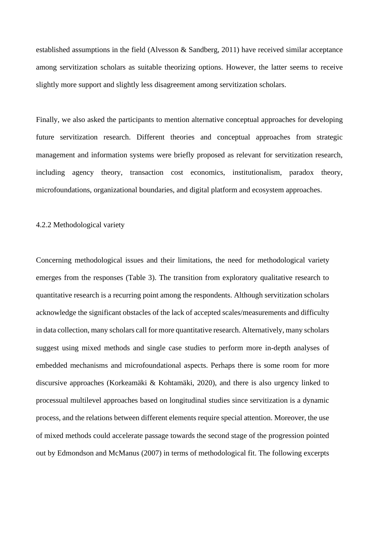established assumptions in the field (Alvesson & Sandberg, 2011) have received similar acceptance among servitization scholars as suitable theorizing options. However, the latter seems to receive slightly more support and slightly less disagreement among servitization scholars.

Finally, we also asked the participants to mention alternative conceptual approaches for developing future servitization research. Different theories and conceptual approaches from strategic management and information systems were briefly proposed as relevant for servitization research, including agency theory, transaction cost economics, institutionalism, paradox theory, microfoundations, organizational boundaries, and digital platform and ecosystem approaches.

### 4.2.2 Methodological variety

Concerning methodological issues and their limitations, the need for methodological variety emerges from the responses (Table 3). The transition from exploratory qualitative research to quantitative research is a recurring point among the respondents. Although servitization scholars acknowledge the significant obstacles of the lack of accepted scales/measurements and difficulty in data collection, many scholars call for more quantitative research. Alternatively, many scholars suggest using mixed methods and single case studies to perform more in-depth analyses of embedded mechanisms and microfoundational aspects. Perhaps there is some room for more discursive approaches (Korkeamäki & Kohtamäki, 2020), and there is also urgency linked to processual multilevel approaches based on longitudinal studies since servitization is a dynamic process, and the relations between different elements require special attention. Moreover, the use of mixed methods could accelerate passage towards the second stage of the progression pointed out by Edmondson and McManus (2007) in terms of methodological fit. The following excerpts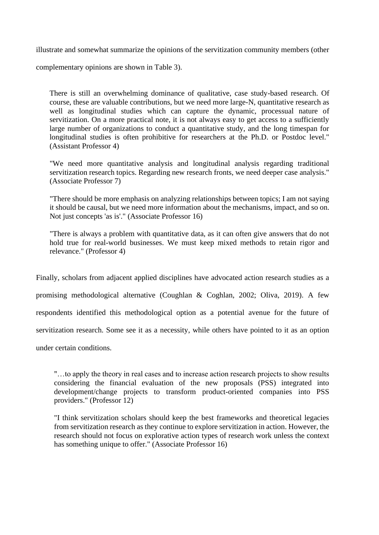illustrate and somewhat summarize the opinions of the servitization community members (other complementary opinions are shown in Table 3).

There is still an overwhelming dominance of qualitative, case study-based research. Of course, these are valuable contributions, but we need more large-N, quantitative research as well as longitudinal studies which can capture the dynamic, processual nature of servitization. On a more practical note, it is not always easy to get access to a sufficiently large number of organizations to conduct a quantitative study, and the long timespan for longitudinal studies is often prohibitive for researchers at the Ph.D. or Postdoc level." (Assistant Professor 4)

"We need more quantitative analysis and longitudinal analysis regarding traditional servitization research topics. Regarding new research fronts, we need deeper case analysis." (Associate Professor 7)

"There should be more emphasis on analyzing relationships between topics; I am not saying it should be causal, but we need more information about the mechanisms, impact, and so on. Not just concepts 'as is'." (Associate Professor 16)

"There is always a problem with quantitative data, as it can often give answers that do not hold true for real-world businesses. We must keep mixed methods to retain rigor and relevance." (Professor 4)

Finally, scholars from adjacent applied disciplines have advocated action research studies as a promising methodological alternative (Coughlan & Coghlan, 2002; Oliva, 2019). A few respondents identified this methodological option as a potential avenue for the future of servitization research. Some see it as a necessity, while others have pointed to it as an option under certain conditions.

"…to apply the theory in real cases and to increase action research projects to show results considering the financial evaluation of the new proposals (PSS) integrated into development/change projects to transform product-oriented companies into PSS providers." (Professor 12)

"I think servitization scholars should keep the best frameworks and theoretical legacies from servitization research as they continue to explore servitization in action. However, the research should not focus on explorative action types of research work unless the context has something unique to offer." (Associate Professor 16)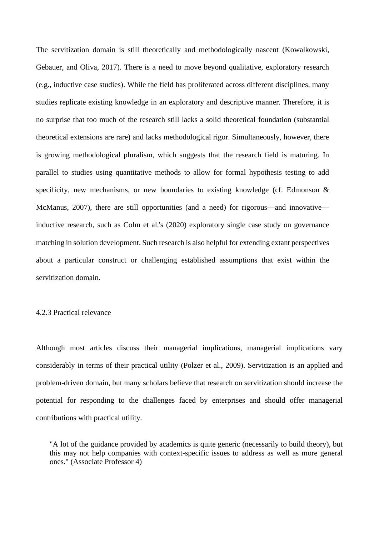The servitization domain is still theoretically and methodologically nascent (Kowalkowski, Gebauer, and Oliva, 2017). There is a need to move beyond qualitative, exploratory research (e.g., inductive case studies). While the field has proliferated across different disciplines, many studies replicate existing knowledge in an exploratory and descriptive manner. Therefore, it is no surprise that too much of the research still lacks a solid theoretical foundation (substantial theoretical extensions are rare) and lacks methodological rigor. Simultaneously, however, there is growing methodological pluralism, which suggests that the research field is maturing. In parallel to studies using quantitative methods to allow for formal hypothesis testing to add specificity, new mechanisms, or new boundaries to existing knowledge (cf. Edmonson  $\&$ McManus, 2007), there are still opportunities (and a need) for rigorous—and innovative inductive research, such as Colm et al.'s (2020) exploratory single case study on governance matching in solution development. Such research is also helpful for extending extant perspectives about a particular construct or challenging established assumptions that exist within the servitization domain.

## 4.2.3 Practical relevance

Although most articles discuss their managerial implications, managerial implications vary considerably in terms of their practical utility (Polzer et al., 2009). Servitization is an applied and problem-driven domain, but many scholars believe that research on servitization should increase the potential for responding to the challenges faced by enterprises and should offer managerial contributions with practical utility.

<sup>&</sup>quot;A lot of the guidance provided by academics is quite generic (necessarily to build theory), but this may not help companies with context-specific issues to address as well as more general ones." (Associate Professor 4)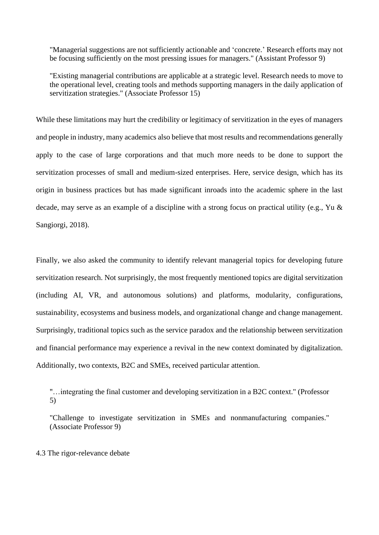"Managerial suggestions are not sufficiently actionable and 'concrete.' Research efforts may not be focusing sufficiently on the most pressing issues for managers." (Assistant Professor 9)

"Existing managerial contributions are applicable at a strategic level. Research needs to move to the operational level, creating tools and methods supporting managers in the daily application of servitization strategies." (Associate Professor 15)

While these limitations may hurt the credibility or legitimacy of servitization in the eyes of managers and people in industry, many academics also believe that most results and recommendations generally apply to the case of large corporations and that much more needs to be done to support the servitization processes of small and medium-sized enterprises. Here, service design, which has its origin in business practices but has made significant inroads into the academic sphere in the last decade, may serve as an example of a discipline with a strong focus on practical utility (e.g., Yu & Sangiorgi, 2018).

Finally, we also asked the community to identify relevant managerial topics for developing future servitization research. Not surprisingly, the most frequently mentioned topics are digital servitization (including AI, VR, and autonomous solutions) and platforms, modularity, configurations, sustainability, ecosystems and business models, and organizational change and change management. Surprisingly, traditional topics such as the service paradox and the relationship between servitization and financial performance may experience a revival in the new context dominated by digitalization. Additionally, two contexts, B2C and SMEs, received particular attention.

"…integrating the final customer and developing servitization in a B2C context." (Professor 5)

"Challenge to investigate servitization in SMEs and nonmanufacturing companies." (Associate Professor 9)

4.3 The rigor-relevance debate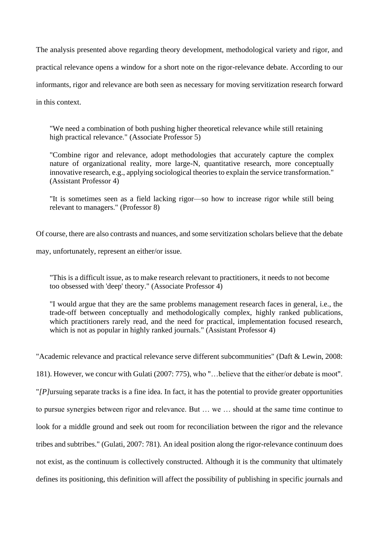The analysis presented above regarding theory development, methodological variety and rigor, and practical relevance opens a window for a short note on the rigor-relevance debate. According to our informants, rigor and relevance are both seen as necessary for moving servitization research forward in this context.

"We need a combination of both pushing higher theoretical relevance while still retaining high practical relevance." (Associate Professor 5)

"Combine rigor and relevance, adopt methodologies that accurately capture the complex nature of organizational reality, more large-N, quantitative research, more conceptually innovative research, e.g., applying sociological theories to explain the service transformation." (Assistant Professor 4)

"It is sometimes seen as a field lacking rigor—so how to increase rigor while still being relevant to managers." (Professor 8)

Of course, there are also contrasts and nuances, and some servitization scholars believe that the debate

may, unfortunately, represent an either/or issue.

"This is a difficult issue, as to make research relevant to practitioners, it needs to not become too obsessed with 'deep' theory." (Associate Professor 4)

"I would argue that they are the same problems management research faces in general, i.e., the trade-off between conceptually and methodologically complex, highly ranked publications, which practitioners rarely read, and the need for practical, implementation focused research, which is not as popular in highly ranked journals." (Assistant Professor 4)

"Academic relevance and practical relevance serve different subcommunities" (Daft & Lewin, 2008: 181). However, we concur with Gulati (2007: 775), who "…believe that the either/or debate is moot". "*[P]*ursuing separate tracks is a fine idea. In fact, it has the potential to provide greater opportunities to pursue synergies between rigor and relevance. But … we … should at the same time continue to look for a middle ground and seek out room for reconciliation between the rigor and the relevance tribes and subtribes." (Gulati, 2007: 781). An ideal position along the rigor-relevance continuum does not exist, as the continuum is collectively constructed. Although it is the community that ultimately defines its positioning, this definition will affect the possibility of publishing in specific journals and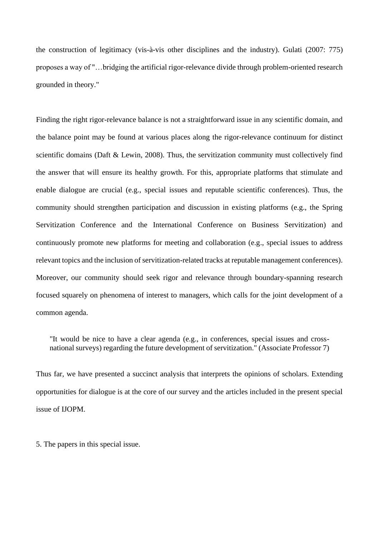the construction of legitimacy (vis-à-vis other disciplines and the industry). Gulati (2007: 775) proposes a way of "…bridging the artificial rigor-relevance divide through problem-oriented research grounded in theory."

Finding the right rigor-relevance balance is not a straightforward issue in any scientific domain, and the balance point may be found at various places along the rigor-relevance continuum for distinct scientific domains (Daft  $&$  Lewin, 2008). Thus, the servitization community must collectively find the answer that will ensure its healthy growth. For this, appropriate platforms that stimulate and enable dialogue are crucial (e.g., special issues and reputable scientific conferences). Thus, the community should strengthen participation and discussion in existing platforms (e.g., the Spring Servitization Conference and the International Conference on Business Servitization) and continuously promote new platforms for meeting and collaboration (e.g., special issues to address relevant topics and the inclusion of servitization-related tracks at reputable management conferences). Moreover, our community should seek rigor and relevance through boundary-spanning research focused squarely on phenomena of interest to managers, which calls for the joint development of a common agenda.

"It would be nice to have a clear agenda (e.g., in conferences, special issues and crossnational surveys) regarding the future development of servitization." (Associate Professor 7)

Thus far, we have presented a succinct analysis that interprets the opinions of scholars. Extending opportunities for dialogue is at the core of our survey and the articles included in the present special issue of IJOPM.

5. The papers in this special issue.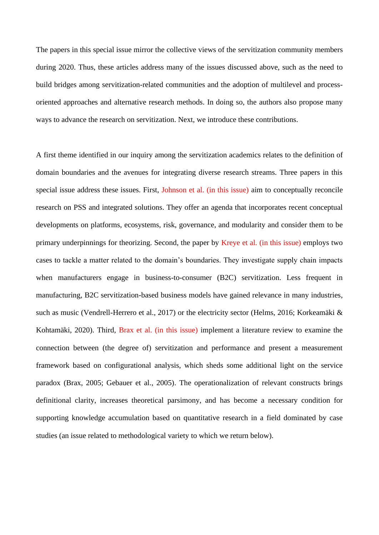The papers in this special issue mirror the collective views of the servitization community members during 2020. Thus, these articles address many of the issues discussed above, such as the need to build bridges among servitization-related communities and the adoption of multilevel and processoriented approaches and alternative research methods. In doing so, the authors also propose many ways to advance the research on servitization. Next, we introduce these contributions.

A first theme identified in our inquiry among the servitization academics relates to the definition of domain boundaries and the avenues for integrating diverse research streams. Three papers in this special issue address these issues. First, Johnson et al. (in this issue) aim to conceptually reconcile research on PSS and integrated solutions. They offer an agenda that incorporates recent conceptual developments on platforms, ecosystems, risk, governance, and modularity and consider them to be primary underpinnings for theorizing. Second, the paper by Kreye et al. (in this issue) employs two cases to tackle a matter related to the domain's boundaries. They investigate supply chain impacts when manufacturers engage in business-to-consumer (B2C) servitization. Less frequent in manufacturing, B2C servitization-based business models have gained relevance in many industries, such as music (Vendrell-Herrero et al., 2017) or the electricity sector (Helms, 2016; Korkeamäki & Kohtamäki, 2020). Third, Brax et al. (in this issue) implement a literature review to examine the connection between (the degree of) servitization and performance and present a measurement framework based on configurational analysis, which sheds some additional light on the service paradox (Brax, 2005; Gebauer et al., 2005). The operationalization of relevant constructs brings definitional clarity, increases theoretical parsimony, and has become a necessary condition for supporting knowledge accumulation based on quantitative research in a field dominated by case studies (an issue related to methodological variety to which we return below).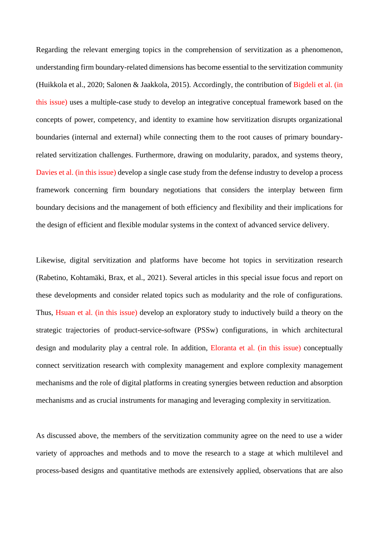Regarding the relevant emerging topics in the comprehension of servitization as a phenomenon, understanding firm boundary-related dimensions has become essential to the servitization community (Huikkola et al., 2020; Salonen & Jaakkola, 2015). Accordingly, the contribution of Bigdeli et al. (in this issue) uses a multiple-case study to develop an integrative conceptual framework based on the concepts of power, competency, and identity to examine how servitization disrupts organizational boundaries (internal and external) while connecting them to the root causes of primary boundaryrelated servitization challenges. Furthermore, drawing on modularity, paradox, and systems theory, Davies et al. (in this issue) develop a single case study from the defense industry to develop a process framework concerning firm boundary negotiations that considers the interplay between firm boundary decisions and the management of both efficiency and flexibility and their implications for the design of efficient and flexible modular systems in the context of advanced service delivery.

Likewise, digital servitization and platforms have become hot topics in servitization research (Rabetino, Kohtamäki, Brax, et al., 2021). Several articles in this special issue focus and report on these developments and consider related topics such as modularity and the role of configurations. Thus, Hsuan et al. (in this issue) develop an exploratory study to inductively build a theory on the strategic trajectories of product-service-software (PSSw) configurations, in which architectural design and modularity play a central role. In addition, Eloranta et al. (in this issue) conceptually connect servitization research with complexity management and explore complexity management mechanisms and the role of digital platforms in creating synergies between reduction and absorption mechanisms and as crucial instruments for managing and leveraging complexity in servitization.

As discussed above, the members of the servitization community agree on the need to use a wider variety of approaches and methods and to move the research to a stage at which multilevel and process-based designs and quantitative methods are extensively applied, observations that are also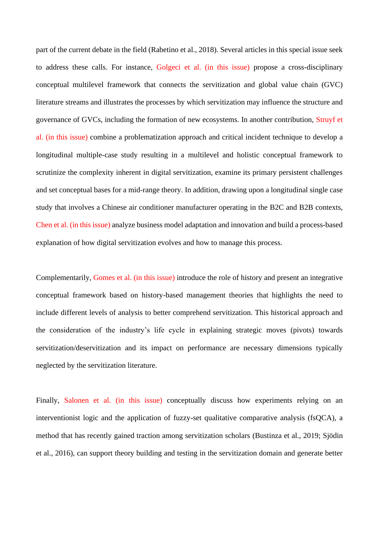part of the current debate in the field (Rabetino et al., 2018). Several articles in this special issue seek to address these calls. For instance, Golgeci et al. (in this issue) propose a cross-disciplinary conceptual multilevel framework that connects the servitization and global value chain (GVC) literature streams and illustrates the processes by which servitization may influence the structure and governance of GVCs, including the formation of new ecosystems. In another contribution, Struyf et al. (in this issue) combine a problematization approach and critical incident technique to develop a longitudinal multiple-case study resulting in a multilevel and holistic conceptual framework to scrutinize the complexity inherent in digital servitization, examine its primary persistent challenges and set conceptual bases for a mid-range theory. In addition, drawing upon a longitudinal single case study that involves a Chinese air conditioner manufacturer operating in the B2C and B2B contexts, Chen et al. (in this issue) analyze business model adaptation and innovation and build a process-based explanation of how digital servitization evolves and how to manage this process.

Complementarily, Gomes et al. (in this issue) introduce the role of history and present an integrative conceptual framework based on history-based management theories that highlights the need to include different levels of analysis to better comprehend servitization. This historical approach and the consideration of the industry's life cycle in explaining strategic moves (pivots) towards servitization/deservitization and its impact on performance are necessary dimensions typically neglected by the servitization literature.

Finally, Salonen et al. (in this issue) conceptually discuss how experiments relying on an interventionist logic and the application of fuzzy-set qualitative comparative analysis (fsQCA), a method that has recently gained traction among servitization scholars (Bustinza et al., 2019; Sjödin et al., 2016), can support theory building and testing in the servitization domain and generate better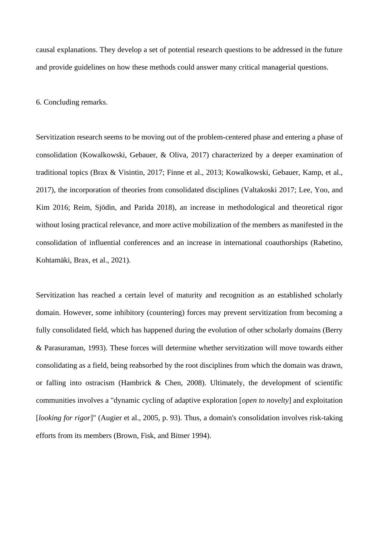causal explanations. They develop a set of potential research questions to be addressed in the future and provide guidelines on how these methods could answer many critical managerial questions.

6. Concluding remarks.

Servitization research seems to be moving out of the problem-centered phase and entering a phase of consolidation (Kowalkowski, Gebauer, & Oliva, 2017) characterized by a deeper examination of traditional topics (Brax & Visintin, 2017; Finne et al., 2013; Kowalkowski, Gebauer, Kamp, et al., 2017), the incorporation of theories from consolidated disciplines (Valtakoski 2017; Lee, Yoo, and Kim 2016; Reim, Sjödin, and Parida 2018), an increase in methodological and theoretical rigor without losing practical relevance, and more active mobilization of the members as manifested in the consolidation of influential conferences and an increase in international coauthorships (Rabetino, Kohtamäki, Brax, et al., 2021).

Servitization has reached a certain level of maturity and recognition as an established scholarly domain. However, some inhibitory (countering) forces may prevent servitization from becoming a fully consolidated field, which has happened during the evolution of other scholarly domains (Berry & Parasuraman, 1993). These forces will determine whether servitization will move towards either consolidating as a field, being reabsorbed by the root disciplines from which the domain was drawn, or falling into ostracism (Hambrick & Chen, 2008). Ultimately, the development of scientific communities involves a "dynamic cycling of adaptive exploration [*open to novelty*] and exploitation [*looking for rigor*]" (Augier et al., 2005, p. 93). Thus, a domain's consolidation involves risk-taking efforts from its members (Brown, Fisk, and Bitner 1994).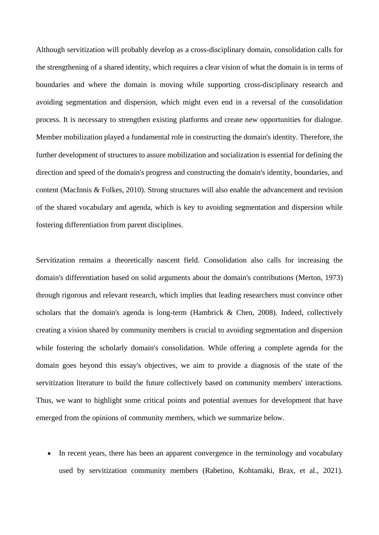Although servitization will probably develop as a cross-disciplinary domain, consolidation calls for the strengthening of a shared identity, which requires a clear vision of what the domain is in terms of boundaries and where the domain is moving while supporting cross-disciplinary research and avoiding segmentation and dispersion, which might even end in a reversal of the consolidation process. It is necessary to strengthen existing platforms and create new opportunities for dialogue. Member mobilization played a fundamental role in constructing the domain's identity. Therefore, the further development of structures to assure mobilization and socialization is essential for defining the direction and speed of the domain's progress and constructing the domain's identity, boundaries, and content (MacInnis & Folkes, 2010). Strong structures will also enable the advancement and revision of the shared vocabulary and agenda, which is key to avoiding segmentation and dispersion while fostering differentiation from parent disciplines.

Servitization remains a theoretically nascent field. Consolidation also calls for increasing the domain's differentiation based on solid arguments about the domain's contributions (Merton, 1973) through rigorous and relevant research, which implies that leading researchers must convince other scholars that the domain's agenda is long-term (Hambrick & Chen, 2008). Indeed, collectively creating a vision shared by community members is crucial to avoiding segmentation and dispersion while fostering the scholarly domain's consolidation. While offering a complete agenda for the domain goes beyond this essay's objectives, we aim to provide a diagnosis of the state of the servitization literature to build the future collectively based on community members' interactions. Thus, we want to highlight some critical points and potential avenues for development that have emerged from the opinions of community members, which we summarize below.

• In recent years, there has been an apparent convergence in the terminology and vocabulary used by servitization community members (Rabetino, Kohtamäki, Brax, et al., 2021).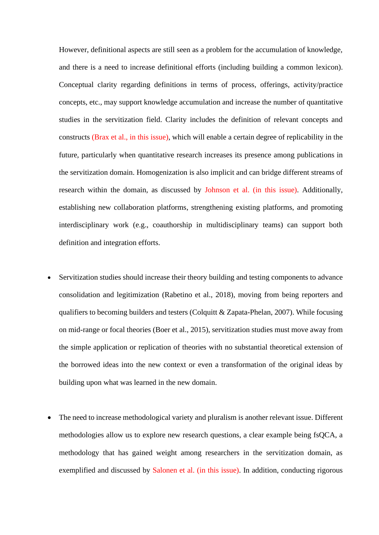However, definitional aspects are still seen as a problem for the accumulation of knowledge, and there is a need to increase definitional efforts (including building a common lexicon). Conceptual clarity regarding definitions in terms of process, offerings, activity/practice concepts, etc., may support knowledge accumulation and increase the number of quantitative studies in the servitization field. Clarity includes the definition of relevant concepts and constructs (Brax et al., in this issue), which will enable a certain degree of replicability in the future, particularly when quantitative research increases its presence among publications in the servitization domain. Homogenization is also implicit and can bridge different streams of research within the domain, as discussed by Johnson et al. (in this issue). Additionally, establishing new collaboration platforms, strengthening existing platforms, and promoting interdisciplinary work (e.g., coauthorship in multidisciplinary teams) can support both definition and integration efforts.

- Servitization studies should increase their theory building and testing components to advance consolidation and legitimization (Rabetino et al., 2018), moving from being reporters and qualifiers to becoming builders and testers (Colquitt & Zapata-Phelan, 2007). While focusing on mid-range or focal theories (Boer et al., 2015), servitization studies must move away from the simple application or replication of theories with no substantial theoretical extension of the borrowed ideas into the new context or even a transformation of the original ideas by building upon what was learned in the new domain.
- The need to increase methodological variety and pluralism is another relevant issue. Different methodologies allow us to explore new research questions, a clear example being fsQCA, a methodology that has gained weight among researchers in the servitization domain, as exemplified and discussed by Salonen et al. (in this issue). In addition, conducting rigorous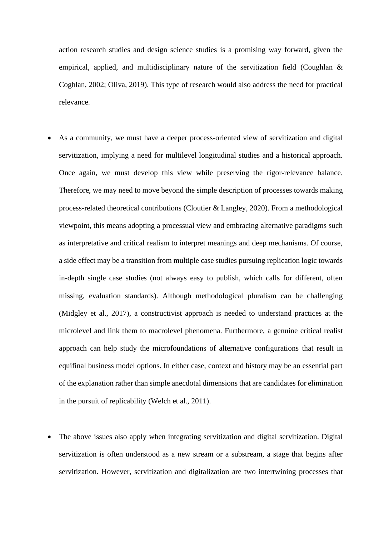action research studies and design science studies is a promising way forward, given the empirical, applied, and multidisciplinary nature of the servitization field (Coughlan & Coghlan, 2002; Oliva, 2019). This type of research would also address the need for practical relevance.

- As a community, we must have a deeper process-oriented view of servitization and digital servitization, implying a need for multilevel longitudinal studies and a historical approach. Once again, we must develop this view while preserving the rigor-relevance balance. Therefore, we may need to move beyond the simple description of processes towards making process-related theoretical contributions (Cloutier & Langley, 2020). From a methodological viewpoint, this means adopting a processual view and embracing alternative paradigms such as interpretative and critical realism to interpret meanings and deep mechanisms. Of course, a side effect may be a transition from multiple case studies pursuing replication logic towards in-depth single case studies (not always easy to publish, which calls for different, often missing, evaluation standards). Although methodological pluralism can be challenging (Midgley et al., 2017), a constructivist approach is needed to understand practices at the microlevel and link them to macrolevel phenomena. Furthermore, a genuine critical realist approach can help study the microfoundations of alternative configurations that result in equifinal business model options. In either case, context and history may be an essential part of the explanation rather than simple anecdotal dimensions that are candidates for elimination in the pursuit of replicability (Welch et al., 2011).
- The above issues also apply when integrating servitization and digital servitization. Digital servitization is often understood as a new stream or a substream, a stage that begins after servitization. However, servitization and digitalization are two intertwining processes that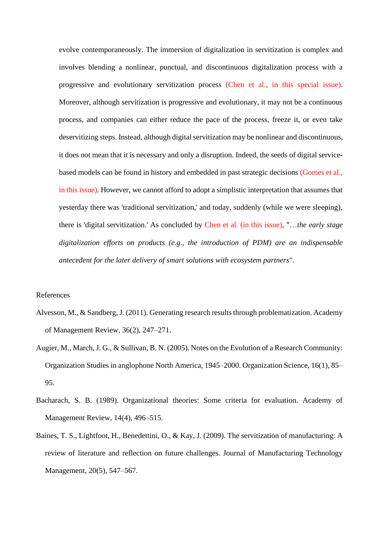evolve contemporaneously. The immersion of digitalization in servitization is complex and involves blending a nonlinear, punctual, and discontinuous digitalization process with a progressive and evolutionary servitization process (Chen et al., in this special issue). Moreover, although servitization is progressive and evolutionary, it may not be a continuous process, and companies can either reduce the pace of the process, freeze it, or even take deservitizing steps. Instead, although digital servitization may be nonlinear and discontinuous, it does not mean that it is necessary and only a disruption. Indeed, the seeds of digital servicebased models can be found in history and embedded in past strategic decisions (Gomes et al., in this issue). However, we cannot afford to adopt a simplistic interpretation that assumes that yesterday there was 'traditional servitization,' and today, suddenly (while we were sleeping), there is 'digital servitization.' As concluded by Chen et al. (in this issue), "…*the early stage digitalization efforts on products (e.g., the introduction of PDM) are an indispensable antecedent for the later delivery of smart solutions with ecosystem partners*".

## References

- Alvesson, M., & Sandberg,J. (2011). Generating research results through problematization. Academy of Management Review, 36(2), 247–271.
- Augier, M., March, J. G., & Sullivan, B. N. (2005). Notes on the Evolution of a Research Community: Organization Studies in anglophone North America, 1945–2000. Organization Science, 16(1), 85– 95.
- Bacharach, S. B. (1989). Organizational theories: Some criteria for evaluation. Academy of Management Review, 14(4), 496–515.
- Baines, T. S., Lightfoot, H., Benedettini, O., & Kay, J. (2009). The servitization of manufacturing: A review of literature and reflection on future challenges. Journal of Manufacturing Technology Management, 20(5), 547–567.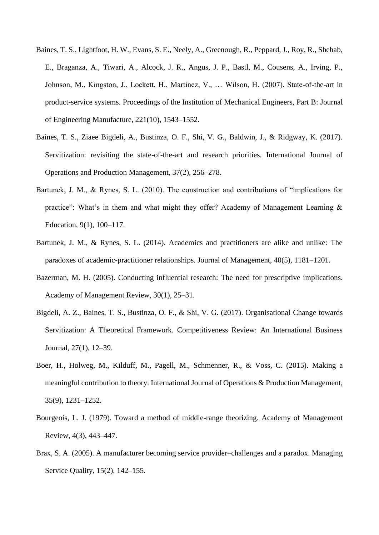- Baines, T. S., Lightfoot, H. W., Evans, S. E., Neely, A., Greenough, R., Peppard, J., Roy, R., Shehab, E., Braganza, A., Tiwari, A., Alcock, J. R., Angus, J. P., Bastl, M., Cousens, A., Irving, P., Johnson, M., Kingston, J., Lockett, H., Martinez, V., … Wilson, H. (2007). State-of-the-art in product-service systems. Proceedings of the Institution of Mechanical Engineers, Part B: Journal of Engineering Manufacture, 221(10), 1543–1552.
- Baines, T. S., Ziaee Bigdeli, A., Bustinza, O. F., Shi, V. G., Baldwin, J., & Ridgway, K. (2017). Servitization: revisiting the state-of-the-art and research priorities. International Journal of Operations and Production Management, 37(2), 256–278.
- Bartunek, J. M., & Rynes, S. L. (2010). The construction and contributions of "implications for practice": What's in them and what might they offer? Academy of Management Learning & Education, 9(1), 100–117.
- Bartunek, J. M., & Rynes, S. L. (2014). Academics and practitioners are alike and unlike: The paradoxes of academic-practitioner relationships. Journal of Management, 40(5), 1181–1201.
- Bazerman, M. H. (2005). Conducting influential research: The need for prescriptive implications. Academy of Management Review, 30(1), 25–31.
- Bigdeli, A. Z., Baines, T. S., Bustinza, O. F., & Shi, V. G. (2017). Organisational Change towards Servitization: A Theoretical Framework. Competitiveness Review: An International Business Journal, 27(1), 12–39.
- Boer, H., Holweg, M., Kilduff, M., Pagell, M., Schmenner, R., & Voss, C. (2015). Making a meaningful contribution to theory. International Journal of Operations & Production Management, 35(9), 1231–1252.
- Bourgeois, L. J. (1979). Toward a method of middle-range theorizing. Academy of Management Review, 4(3), 443–447.
- Brax, S. A. (2005). A manufacturer becoming service provider–challenges and a paradox. Managing Service Quality, 15(2), 142–155.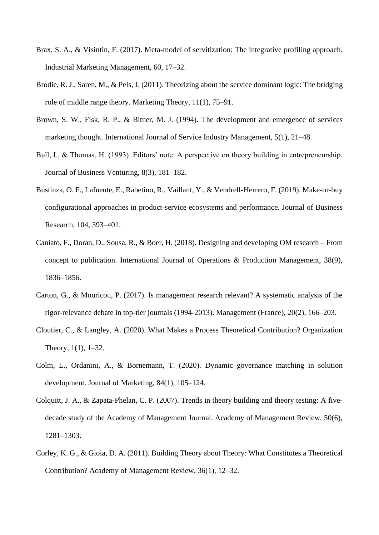- Brax, S. A., & Visintin, F. (2017). Meta-model of servitization: The integrative profiling approach. Industrial Marketing Management, 60, 17–32.
- Brodie, R. J., Saren, M., & Pels, J. (2011). Theorizing about the service dominant logic: The bridging role of middle range theory. Marketing Theory, 11(1), 75–91.
- Brown, S. W., Fisk, R. P., & Bitner, M. J. (1994). The development and emergence of services marketing thought. International Journal of Service Industry Management, 5(1), 21–48.
- Bull, I., & Thomas, H. (1993). Editors' note: A perspective on theory building in entrepreneurship. Journal of Business Venturing, 8(3), 181–182.
- Bustinza, O. F., Lafuente, E., Rabetino, R., Vaillant, Y., & Vendrell-Herrero, F. (2019). Make-or-buy configurational approaches in product-service ecosystems and performance. Journal of Business Research, 104, 393–401.
- Caniato, F., Doran, D., Sousa, R., & Boer, H. (2018). Designing and developing OM research From concept to publication. International Journal of Operations & Production Management, 38(9), 1836–1856.
- Carton, G., & Mouricou, P. (2017). Is management research relevant? A systematic analysis of the rigor-relevance debate in top-tier journals (1994-2013). Management (France), 20(2), 166–203.
- Cloutier, C., & Langley, A. (2020). What Makes a Process Theoretical Contribution? Organization Theory, 1(1), 1–32.
- Colm, L., Ordanini, A., & Bornemann, T. (2020). Dynamic governance matching in solution development. Journal of Marketing, 84(1), 105–124.
- Colquitt, J. A., & Zapata-Phelan, C. P. (2007). Trends in theory building and theory testing: A fivedecade study of the Academy of Management Journal. Academy of Management Review, 50(6), 1281–1303.
- Corley, K. G., & Gioia, D. A. (2011). Building Theory about Theory: What Constitutes a Theoretical Contribution? Academy of Management Review, 36(1), 12–32.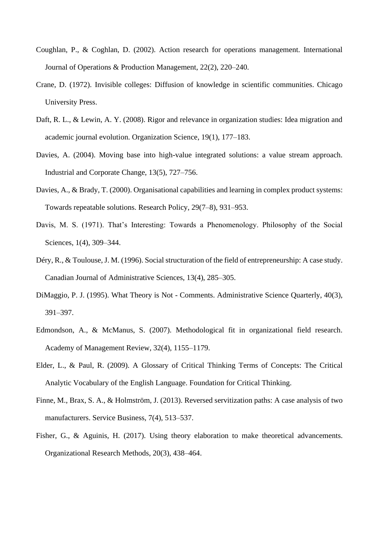- Coughlan, P., & Coghlan, D. (2002). Action research for operations management. International Journal of Operations & Production Management, 22(2), 220–240.
- Crane, D. (1972). Invisible colleges: Diffusion of knowledge in scientific communities. Chicago University Press.
- Daft, R. L., & Lewin, A. Y. (2008). Rigor and relevance in organization studies: Idea migration and academic journal evolution. Organization Science, 19(1), 177–183.
- Davies, A. (2004). Moving base into high-value integrated solutions: a value stream approach. Industrial and Corporate Change, 13(5), 727–756.
- Davies, A., & Brady, T. (2000). Organisational capabilities and learning in complex product systems: Towards repeatable solutions. Research Policy, 29(7–8), 931–953.
- Davis, M. S. (1971). That's Interesting: Towards a Phenomenology. Philosophy of the Social Sciences, 1(4), 309–344.
- Déry, R., & Toulouse, J. M. (1996). Social structuration of the field of entrepreneurship: A case study. Canadian Journal of Administrative Sciences, 13(4), 285–305.
- DiMaggio, P. J. (1995). What Theory is Not Comments. Administrative Science Quarterly, 40(3), 391–397.
- Edmondson, A., & McManus, S. (2007). Methodological fit in organizational field research. Academy of Management Review, 32(4), 1155–1179.
- Elder, L., & Paul, R. (2009). A Glossary of Critical Thinking Terms of Concepts: The Critical Analytic Vocabulary of the English Language. Foundation for Critical Thinking.
- Finne, M., Brax, S. A., & Holmström, J. (2013). Reversed servitization paths: A case analysis of two manufacturers. Service Business, 7(4), 513–537.
- Fisher, G., & Aguinis, H. (2017). Using theory elaboration to make theoretical advancements. Organizational Research Methods, 20(3), 438–464.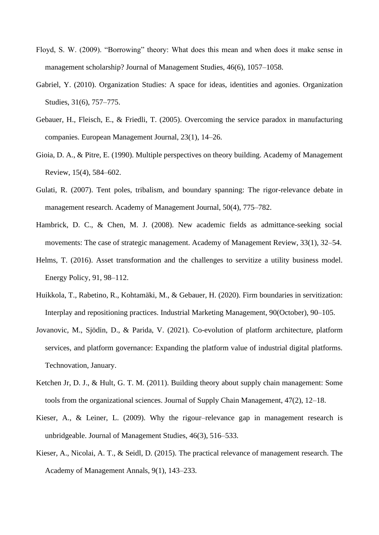- Floyd, S. W. (2009). "Borrowing" theory: What does this mean and when does it make sense in management scholarship? Journal of Management Studies, 46(6), 1057–1058.
- Gabriel, Y. (2010). Organization Studies: A space for ideas, identities and agonies. Organization Studies, 31(6), 757–775.
- Gebauer, H., Fleisch, E., & Friedli, T. (2005). Overcoming the service paradox in manufacturing companies. European Management Journal, 23(1), 14–26.
- Gioia, D. A., & Pitre, E. (1990). Multiple perspectives on theory building. Academy of Management Review, 15(4), 584–602.
- Gulati, R. (2007). Tent poles, tribalism, and boundary spanning: The rigor-relevance debate in management research. Academy of Management Journal, 50(4), 775–782.
- Hambrick, D. C., & Chen, M. J. (2008). New academic fields as admittance-seeking social movements: The case of strategic management. Academy of Management Review, 33(1), 32–54.
- Helms, T. (2016). Asset transformation and the challenges to servitize a utility business model. Energy Policy, 91, 98–112.
- Huikkola, T., Rabetino, R., Kohtamäki, M., & Gebauer, H. (2020). Firm boundaries in servitization: Interplay and repositioning practices. Industrial Marketing Management, 90(October), 90–105.
- Jovanovic, M., Sjödin, D., & Parida, V. (2021). Co-evolution of platform architecture, platform services, and platform governance: Expanding the platform value of industrial digital platforms. Technovation, January.
- Ketchen Jr, D. J., & Hult, G. T. M. (2011). Building theory about supply chain management: Some tools from the organizational sciences. Journal of Supply Chain Management, 47(2), 12–18.
- Kieser, A., & Leiner, L. (2009). Why the rigour–relevance gap in management research is unbridgeable. Journal of Management Studies, 46(3), 516–533.
- Kieser, A., Nicolai, A. T., & Seidl, D. (2015). The practical relevance of management research. The Academy of Management Annals, 9(1), 143–233.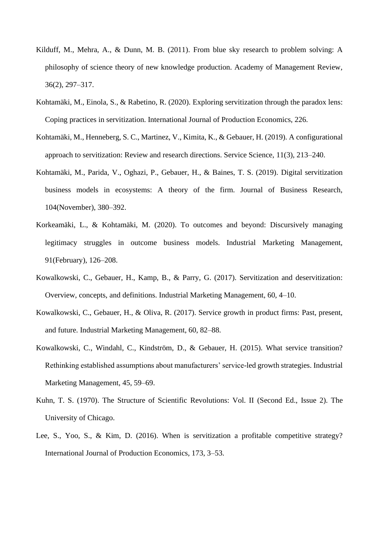- Kilduff, M., Mehra, A., & Dunn, M. B. (2011). From blue sky research to problem solving: A philosophy of science theory of new knowledge production. Academy of Management Review, 36(2), 297–317.
- Kohtamäki, M., Einola, S., & Rabetino, R. (2020). Exploring servitization through the paradox lens: Coping practices in servitization. International Journal of Production Economics, 226.
- Kohtamäki, M., Henneberg, S. C., Martinez, V., Kimita, K., & Gebauer, H. (2019). A configurational approach to servitization: Review and research directions. Service Science, 11(3), 213–240.
- Kohtamäki, M., Parida, V., Oghazi, P., Gebauer, H., & Baines, T. S. (2019). Digital servitization business models in ecosystems: A theory of the firm. Journal of Business Research, 104(November), 380–392.
- Korkeamäki, L., & Kohtamäki, M. (2020). To outcomes and beyond: Discursively managing legitimacy struggles in outcome business models. Industrial Marketing Management, 91(February), 126–208.
- Kowalkowski, C., Gebauer, H., Kamp, B., & Parry, G. (2017). Servitization and deservitization: Overview, concepts, and definitions. Industrial Marketing Management, 60, 4–10.
- Kowalkowski, C., Gebauer, H., & Oliva, R. (2017). Service growth in product firms: Past, present, and future. Industrial Marketing Management, 60, 82–88.
- Kowalkowski, C., Windahl, C., Kindström, D., & Gebauer, H. (2015). What service transition? Rethinking established assumptions about manufacturers' service-led growth strategies. Industrial Marketing Management, 45, 59–69.
- Kuhn, T. S. (1970). The Structure of Scientific Revolutions: Vol. II (Second Ed., Issue 2). The University of Chicago.
- Lee, S., Yoo, S., & Kim, D. (2016). When is servitization a profitable competitive strategy? International Journal of Production Economics, 173, 3–53.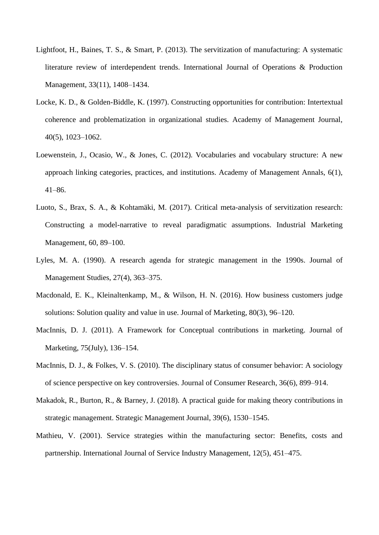- Lightfoot, H., Baines, T. S., & Smart, P. (2013). The servitization of manufacturing: A systematic literature review of interdependent trends. International Journal of Operations & Production Management, 33(11), 1408–1434.
- Locke, K. D., & Golden-Biddle, K. (1997). Constructing opportunities for contribution: Intertextual coherence and problematization in organizational studies. Academy of Management Journal, 40(5), 1023–1062.
- Loewenstein, J., Ocasio, W., & Jones, C. (2012). Vocabularies and vocabulary structure: A new approach linking categories, practices, and institutions. Academy of Management Annals, 6(1), 41–86.
- Luoto, S., Brax, S. A., & Kohtamäki, M. (2017). Critical meta-analysis of servitization research: Constructing a model-narrative to reveal paradigmatic assumptions. Industrial Marketing Management, 60, 89–100.
- Lyles, M. A. (1990). A research agenda for strategic management in the 1990s. Journal of Management Studies, 27(4), 363–375.
- Macdonald, E. K., Kleinaltenkamp, M., & Wilson, H. N. (2016). How business customers judge solutions: Solution quality and value in use. Journal of Marketing, 80(3), 96–120.
- MacInnis, D. J. (2011). A Framework for Conceptual contributions in marketing. Journal of Marketing, 75(July), 136–154.
- MacInnis, D. J., & Folkes, V. S. (2010). The disciplinary status of consumer behavior: A sociology of science perspective on key controversies. Journal of Consumer Research, 36(6), 899–914.
- Makadok, R., Burton, R., & Barney, J. (2018). A practical guide for making theory contributions in strategic management. Strategic Management Journal, 39(6), 1530–1545.
- Mathieu, V. (2001). Service strategies within the manufacturing sector: Benefits, costs and partnership. International Journal of Service Industry Management, 12(5), 451–475.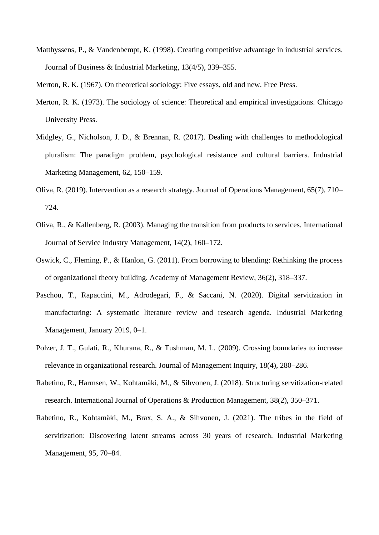Matthyssens, P., & Vandenbempt, K. (1998). Creating competitive advantage in industrial services. Journal of Business & Industrial Marketing, 13(4/5), 339–355.

Merton, R. K. (1967). On theoretical sociology: Five essays, old and new. Free Press.

- Merton, R. K. (1973). The sociology of science: Theoretical and empirical investigations. Chicago University Press.
- Midgley, G., Nicholson, J. D., & Brennan, R. (2017). Dealing with challenges to methodological pluralism: The paradigm problem, psychological resistance and cultural barriers. Industrial Marketing Management, 62, 150–159.
- Oliva, R. (2019). Intervention as a research strategy. Journal of Operations Management, 65(7), 710– 724.
- Oliva, R., & Kallenberg, R. (2003). Managing the transition from products to services. International Journal of Service Industry Management, 14(2), 160–172.
- Oswick, C., Fleming, P., & Hanlon, G. (2011). From borrowing to blending: Rethinking the process of organizational theory building. Academy of Management Review, 36(2), 318–337.
- Paschou, T., Rapaccini, M., Adrodegari, F., & Saccani, N. (2020). Digital servitization in manufacturing: A systematic literature review and research agenda. Industrial Marketing Management, January 2019, 0–1.
- Polzer, J. T., Gulati, R., Khurana, R., & Tushman, M. L. (2009). Crossing boundaries to increase relevance in organizational research. Journal of Management Inquiry, 18(4), 280–286.
- Rabetino, R., Harmsen, W., Kohtamäki, M., & Sihvonen, J. (2018). Structuring servitization-related research. International Journal of Operations & Production Management, 38(2), 350–371.
- Rabetino, R., Kohtamäki, M., Brax, S. A., & Sihvonen, J. (2021). The tribes in the field of servitization: Discovering latent streams across 30 years of research. Industrial Marketing Management, 95, 70–84.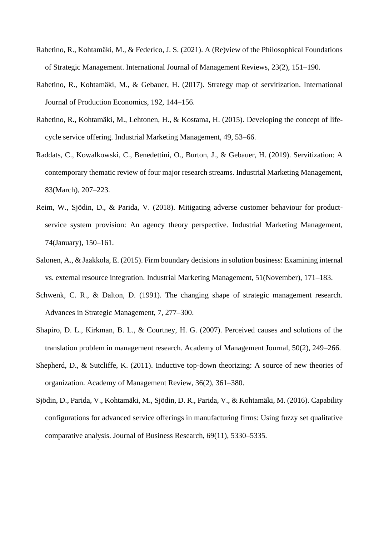- Rabetino, R., Kohtamäki, M., & Federico, J. S. (2021). A (Re)view of the Philosophical Foundations of Strategic Management. International Journal of Management Reviews, 23(2), 151–190.
- Rabetino, R., Kohtamäki, M., & Gebauer, H. (2017). Strategy map of servitization. International Journal of Production Economics, 192, 144–156.
- Rabetino, R., Kohtamäki, M., Lehtonen, H., & Kostama, H. (2015). Developing the concept of lifecycle service offering. Industrial Marketing Management, 49, 53–66.
- Raddats, C., Kowalkowski, C., Benedettini, O., Burton, J., & Gebauer, H. (2019). Servitization: A contemporary thematic review of four major research streams. Industrial Marketing Management, 83(March), 207–223.
- Reim, W., Sjödin, D., & Parida, V. (2018). Mitigating adverse customer behaviour for productservice system provision: An agency theory perspective. Industrial Marketing Management, 74(January), 150–161.
- Salonen, A., & Jaakkola, E. (2015). Firm boundary decisions in solution business: Examining internal vs. external resource integration. Industrial Marketing Management, 51(November), 171–183.
- Schwenk, C. R., & Dalton, D. (1991). The changing shape of strategic management research. Advances in Strategic Management, 7, 277–300.
- Shapiro, D. L., Kirkman, B. L., & Courtney, H. G. (2007). Perceived causes and solutions of the translation problem in management research. Academy of Management Journal, 50(2), 249–266.
- Shepherd, D., & Sutcliffe, K. (2011). Inductive top-down theorizing: A source of new theories of organization. Academy of Management Review, 36(2), 361–380.
- Sjödin, D., Parida, V., Kohtamäki, M., Sjödin, D. R., Parida, V., & Kohtamäki, M. (2016). Capability configurations for advanced service offerings in manufacturing firms: Using fuzzy set qualitative comparative analysis. Journal of Business Research, 69(11), 5330–5335.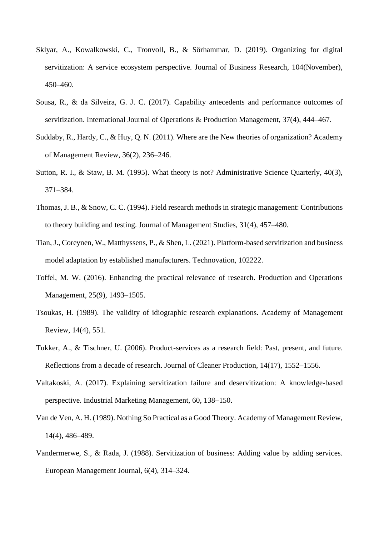- Sklyar, A., Kowalkowski, C., Tronvoll, B., & Sörhammar, D. (2019). Organizing for digital servitization: A service ecosystem perspective. Journal of Business Research, 104(November), 450–460.
- Sousa, R., & da Silveira, G. J. C. (2017). Capability antecedents and performance outcomes of servitization. International Journal of Operations & Production Management, 37(4), 444–467.
- Suddaby, R., Hardy, C., & Huy, Q. N. (2011). Where are the New theories of organization? Academy of Management Review, 36(2), 236–246.
- Sutton, R. I., & Staw, B. M. (1995). What theory is not? Administrative Science Quarterly, 40(3), 371–384.
- Thomas, J. B., & Snow, C. C. (1994). Field research methods in strategic management: Contributions to theory building and testing. Journal of Management Studies, 31(4), 457–480.
- Tian, J., Coreynen, W., Matthyssens, P., & Shen, L. (2021). Platform-based servitization and business model adaptation by established manufacturers. Technovation, 102222.
- Toffel, M. W. (2016). Enhancing the practical relevance of research. Production and Operations Management, 25(9), 1493–1505.
- Tsoukas, H. (1989). The validity of idiographic research explanations. Academy of Management Review, 14(4), 551.
- Tukker, A., & Tischner, U. (2006). Product-services as a research field: Past, present, and future. Reflections from a decade of research. Journal of Cleaner Production, 14(17), 1552–1556.
- Valtakoski, A. (2017). Explaining servitization failure and deservitization: A knowledge-based perspective. Industrial Marketing Management, 60, 138–150.
- Van de Ven, A. H. (1989). Nothing So Practical as a Good Theory. Academy of Management Review, 14(4), 486–489.
- Vandermerwe, S., & Rada, J. (1988). Servitization of business: Adding value by adding services. European Management Journal, 6(4), 314–324.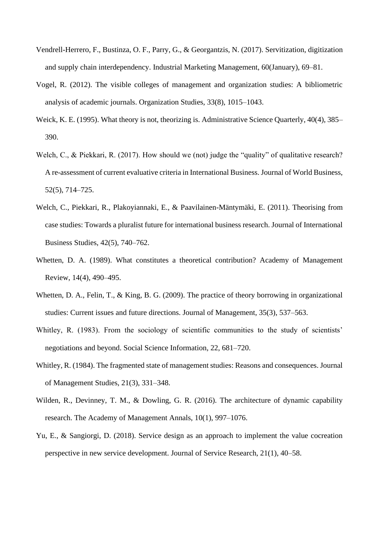- Vendrell-Herrero, F., Bustinza, O. F., Parry, G., & Georgantzis, N. (2017). Servitization, digitization and supply chain interdependency. Industrial Marketing Management, 60(January), 69–81.
- Vogel, R. (2012). The visible colleges of management and organization studies: A bibliometric analysis of academic journals. Organization Studies, 33(8), 1015–1043.
- Weick, K. E. (1995). What theory is not, theorizing is. Administrative Science Quarterly, 40(4), 385– 390.
- Welch, C., & Piekkari, R. (2017). How should we (not) judge the "quality" of qualitative research? A re-assessment of current evaluative criteria in International Business. Journal of World Business, 52(5), 714–725.
- Welch, C., Piekkari, R., Plakoyiannaki, E., & Paavilainen-Mäntymäki, E. (2011). Theorising from case studies: Towards a pluralist future for international business research. Journal of International Business Studies, 42(5), 740–762.
- Whetten, D. A. (1989). What constitutes a theoretical contribution? Academy of Management Review, 14(4), 490–495.
- Whetten, D. A., Felin, T., & King, B. G. (2009). The practice of theory borrowing in organizational studies: Current issues and future directions. Journal of Management, 35(3), 537–563.
- Whitley, R. (1983). From the sociology of scientific communities to the study of scientists' negotiations and beyond. Social Science Information, 22, 681–720.
- Whitley, R. (1984). The fragmented state of management studies: Reasons and consequences. Journal of Management Studies, 21(3), 331–348.
- Wilden, R., Devinney, T. M., & Dowling, G. R. (2016). The architecture of dynamic capability research. The Academy of Management Annals, 10(1), 997–1076.
- Yu, E., & Sangiorgi, D. (2018). Service design as an approach to implement the value cocreation perspective in new service development. Journal of Service Research, 21(1), 40–58.